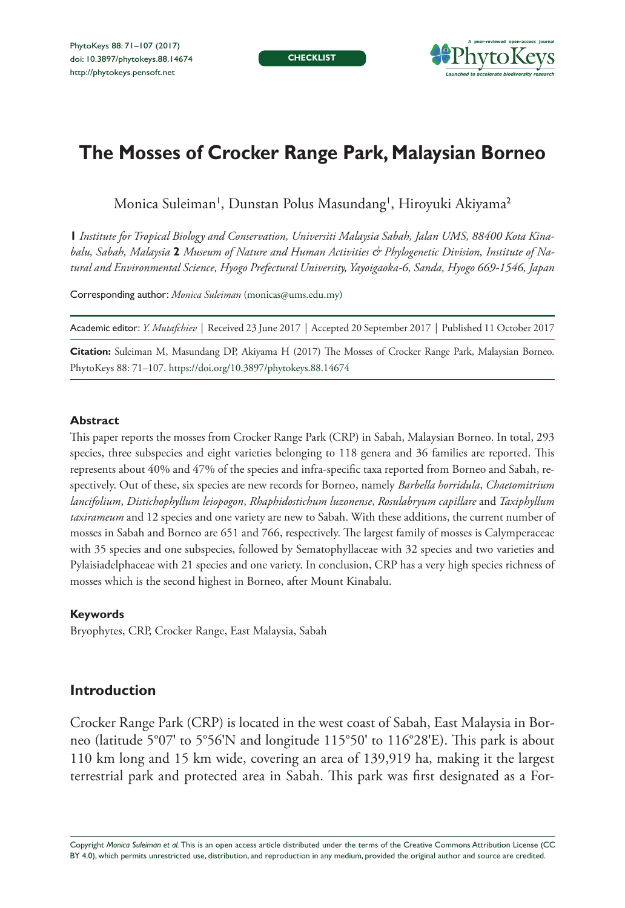**CHECKLIST**



# **The Mosses of Crocker Range Park, Malaysian Borneo**

Monica Suleiman', Dunstan Polus Masundang', Hiroyuki Akiyama<sup>2</sup>

**1** *Institute for Tropical Biology and Conservation, Universiti Malaysia Sabah, Jalan UMS, 88400 Kota Kinabalu, Sabah, Malaysia* **2** *Museum of Nature and Human Activities & Phylogenetic Division, Institute of Natural and Environmental Science, Hyogo Prefectural University, Yayoigaoka-6, Sanda, Hyogo 669-1546, Japan*

Corresponding author: *Monica Suleiman* [\(monicas@ums.edu.my](mailto:monicas@ums.edu.my))

Academic editor: *Y. Mutafchiev* | Received 23 June 2017 | Accepted 20 September 2017 | Published 11 October 2017

**Citation:** Suleiman M, Masundang DP, Akiyama H (2017) The Mosses of Crocker Range Park, Malaysian Borneo. PhytoKeys 88: 71–107.<https://doi.org/10.3897/phytokeys.88.14674>

#### **Abstract**

This paper reports the mosses from Crocker Range Park (CRP) in Sabah, Malaysian Borneo. In total, 293 species, three subspecies and eight varieties belonging to 118 genera and 36 families are reported. This represents about 40% and 47% of the species and infra-specific taxa reported from Borneo and Sabah, respectively. Out of these, six species are new records for Borneo, namely *Barbella horridula*, *Chaetomitrium lancifolium*, *Distichophyllum leiopogon*, *Rhaphidostichum luzonense*, *Rosulabryum capillare* and *Taxiphyllum taxirameum* and 12 species and one variety are new to Sabah. With these additions, the current number of mosses in Sabah and Borneo are 651 and 766, respectively. The largest family of mosses is Calymperaceae with 35 species and one subspecies, followed by Sematophyllaceae with 32 species and two varieties and Pylaisiadelphaceae with 21 species and one variety. In conclusion, CRP has a very high species richness of mosses which is the second highest in Borneo, after Mount Kinabalu.

#### **Keywords**

Bryophytes, CRP, Crocker Range, East Malaysia, Sabah

### **Introduction**

Crocker Range Park (CRP) is located in the west coast of Sabah, East Malaysia in Borneo (latitude 5°07' to 5°56'N and longitude 115°50' to 116°28'E). This park is about 110 km long and 15 km wide, covering an area of 139,919 ha, making it the largest terrestrial park and protected area in Sabah. This park was first designated as a For-

Copyright *Monica Suleiman et al.* This is an open access article distributed under the terms of the [Creative Commons Attribution License \(CC](http://creativecommons.org/licenses/by/4.0/)  [BY 4.0\)](http://creativecommons.org/licenses/by/4.0/), which permits unrestricted use, distribution, and reproduction in any medium, provided the original author and source are credited.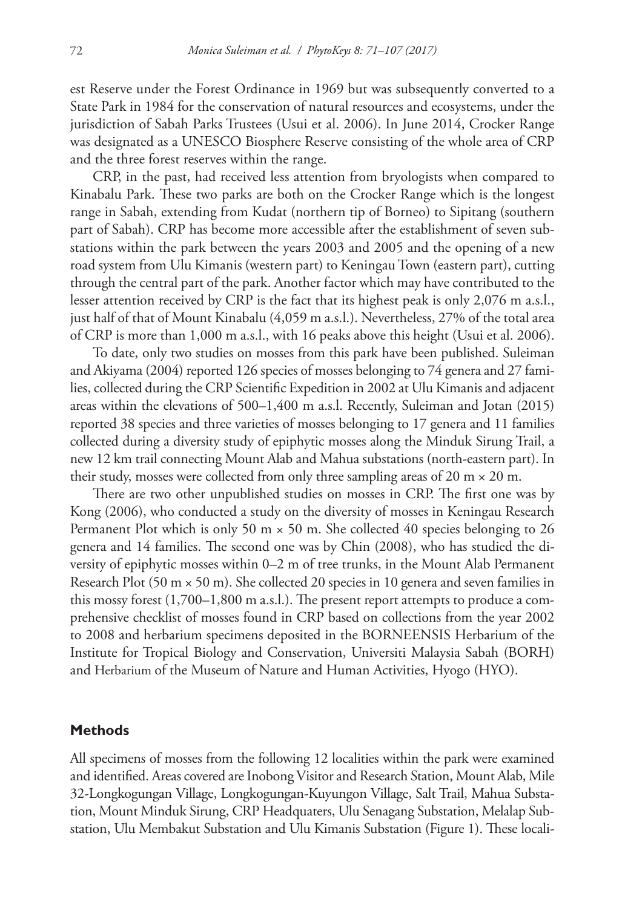est Reserve under the Forest Ordinance in 1969 but was subsequently converted to a State Park in 1984 for the conservation of natural resources and ecosystems, under the jurisdiction of Sabah Parks Trustees (Usui et al. 2006). In June 2014, Crocker Range was designated as a UNESCO Biosphere Reserve consisting of the whole area of CRP and the three forest reserves within the range.

CRP, in the past, had received less attention from bryologists when compared to Kinabalu Park. These two parks are both on the Crocker Range which is the longest range in Sabah, extending from Kudat (northern tip of Borneo) to Sipitang (southern part of Sabah). CRP has become more accessible after the establishment of seven substations within the park between the years 2003 and 2005 and the opening of a new road system from Ulu Kimanis (western part) to Keningau Town (eastern part), cutting through the central part of the park. Another factor which may have contributed to the lesser attention received by CRP is the fact that its highest peak is only 2,076 m a.s.l., just half of that of Mount Kinabalu (4,059 m a.s.l.). Nevertheless, 27% of the total area of CRP is more than 1,000 m a.s.l., with 16 peaks above this height (Usui et al. 2006).

To date, only two studies on mosses from this park have been published. Suleiman and Akiyama (2004) reported 126 species of mosses belonging to 74 genera and 27 families, collected during the CRP Scientific Expedition in 2002 at Ulu Kimanis and adjacent areas within the elevations of 500–1,400 m a.s.l. Recently, Suleiman and Jotan (2015) reported 38 species and three varieties of mosses belonging to 17 genera and 11 families collected during a diversity study of epiphytic mosses along the Minduk Sirung Trail, a new 12 km trail connecting Mount Alab and Mahua substations (north-eastern part). In their study, mosses were collected from only three sampling areas of 20 m  $\times$  20 m.

There are two other unpublished studies on mosses in CRP. The first one was by Kong (2006), who conducted a study on the diversity of mosses in Keningau Research Permanent Plot which is only 50 m  $\times$  50 m. She collected 40 species belonging to 26 genera and 14 families. The second one was by Chin (2008), who has studied the diversity of epiphytic mosses within 0–2 m of tree trunks, in the Mount Alab Permanent Research Plot (50 m  $\times$  50 m). She collected 20 species in 10 genera and seven families in this mossy forest (1,700–1,800 m a.s.l.). The present report attempts to produce a comprehensive checklist of mosses found in CRP based on collections from the year 2002 to 2008 and herbarium specimens deposited in the BORNEENSIS Herbarium of the Institute for Tropical Biology and Conservation, Universiti Malaysia Sabah (BORH) and Herbarium of the Museum of Nature and Human Activities, Hyogo (HYO).

#### **Methods**

All specimens of mosses from the following 12 localities within the park were examined and identified. Areas covered are Inobong Visitor and Research Station, Mount Alab, Mile 32-Longkogungan Village, Longkogungan-Kuyungon Village, Salt Trail, Mahua Substation, Mount Minduk Sirung, CRP Headquaters, Ulu Senagang Substation, Melalap Substation, Ulu Membakut Substation and Ulu Kimanis Substation (Figure 1). These locali-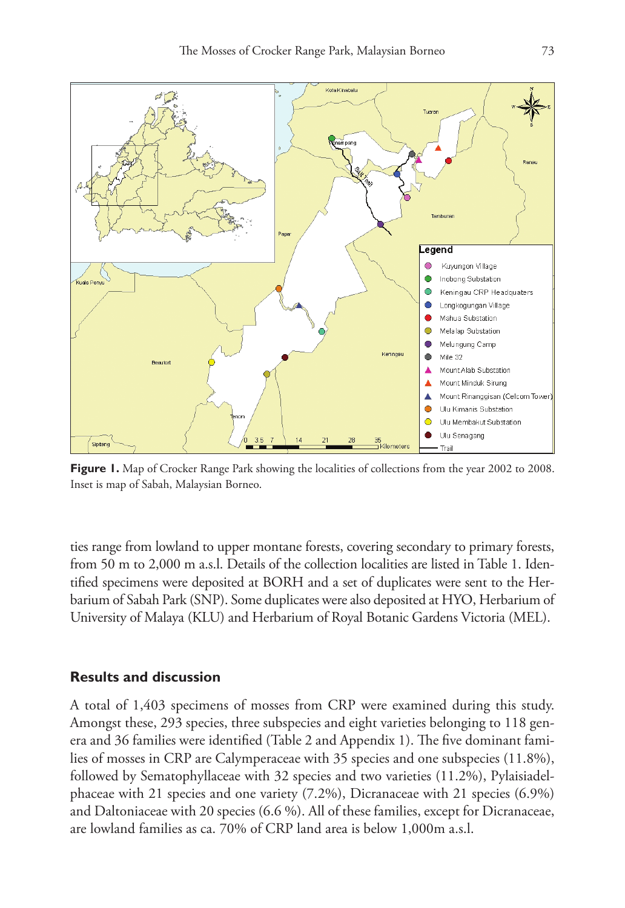

**Figure 1.** Map of Crocker Range Park showing the localities of collections from the year 2002 to 2008. Inset is map of Sabah, Malaysian Borneo.

ties range from lowland to upper montane forests, covering secondary to primary forests, from 50 m to 2,000 m a.s.l. Details of the collection localities are listed in Table 1. Identified specimens were deposited at BORH and a set of duplicates were sent to the Herbarium of Sabah Park (SNP). Some duplicates were also deposited at HYO, Herbarium of University of Malaya (KLU) and Herbarium of Royal Botanic Gardens Victoria (MEL).

### **Results and discussion**

A total of 1,403 specimens of mosses from CRP were examined during this study. Amongst these, 293 species, three subspecies and eight varieties belonging to 118 genera and 36 families were identified (Table 2 and Appendix 1). The five dominant families of mosses in CRP are Calymperaceae with 35 species and one subspecies (11.8%), followed by Sematophyllaceae with 32 species and two varieties (11.2%), Pylaisiadelphaceae with 21 species and one variety (7.2%), Dicranaceae with 21 species (6.9%) and Daltoniaceae with 20 species (6.6 %). All of these families, except for Dicranaceae, are lowland families as ca. 70% of CRP land area is below 1,000m a.s.l.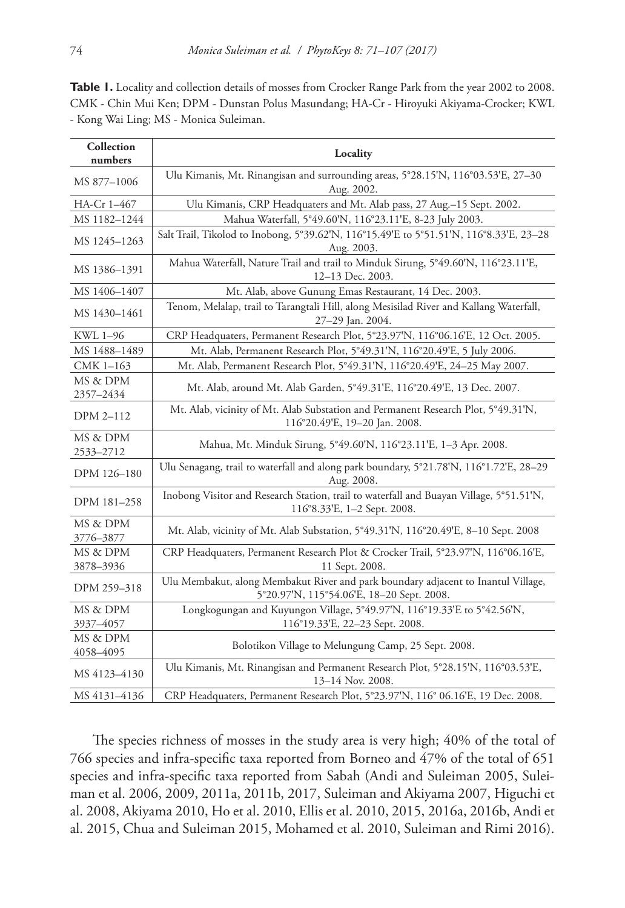Table 1. Locality and collection details of mosses from Crocker Range Park from the year 2002 to 2008. CMK - Chin Mui Ken; DPM - Dunstan Polus Masundang; HA-Cr - Hiroyuki Akiyama-Crocker; KWL - Kong Wai Ling; MS - Monica Suleiman.

| Collection<br>numbers | Locality                                                                                                                       |  |  |
|-----------------------|--------------------------------------------------------------------------------------------------------------------------------|--|--|
| MS 877-1006           | Ulu Kimanis, Mt. Rinangisan and surrounding areas, 5°28.15'N, 116°03.53'E, 27-30<br>Aug. 2002.                                 |  |  |
| HA-Cr 1-467           | Ulu Kimanis, CRP Headquaters and Mt. Alab pass, 27 Aug.-15 Sept. 2002.                                                         |  |  |
| MS 1182-1244          | Mahua Waterfall, 5°49.60'N, 116°23.11'E, 8-23 July 2003.                                                                       |  |  |
| MS 1245-1263          | Salt Trail, Tikolod to Inobong, 5°39.62'N, 116°15.49'E to 5°51.51'N, 116°8.33'E, 23-28<br>Aug. 2003.                           |  |  |
| MS 1386-1391          | Mahua Waterfall, Nature Trail and trail to Minduk Sirung, 5°49.60'N, 116°23.11'E,<br>12-13 Dec. 2003.                          |  |  |
| MS 1406-1407          | Mt. Alab, above Gunung Emas Restaurant, 14 Dec. 2003.                                                                          |  |  |
| MS 1430-1461          | Tenom, Melalap, trail to Tarangtali Hill, along Mesisilad River and Kallang Waterfall,<br>27-29 Jan. 2004.                     |  |  |
| KWL 1-96              | CRP Headquaters, Permanent Research Plot, 5°23.97'N, 116°06.16'E, 12 Oct. 2005.                                                |  |  |
| MS 1488-1489          | Mt. Alab, Permanent Research Plot, 5°49.31'N, 116°20.49'E, 5 July 2006.                                                        |  |  |
| CMK 1-163             | Mt. Alab, Permanent Research Plot, 5°49.31'N, 116°20.49'E, 24-25 May 2007.                                                     |  |  |
| MS & DPM<br>2357-2434 | Mt. Alab, around Mt. Alab Garden, 5°49.31'E, 116°20.49'E, 13 Dec. 2007.                                                        |  |  |
| DPM 2-112             | Mt. Alab, vicinity of Mt. Alab Substation and Permanent Research Plot, 5°49.31'N,<br>116°20.49'E, 19-20 Jan. 2008.             |  |  |
| MS & DPM<br>2533-2712 | Mahua, Mt. Minduk Sirung, 5°49.60'N, 116°23.11'E, 1-3 Apr. 2008.                                                               |  |  |
| DPM 126-180           | Ulu Senagang, trail to waterfall and along park boundary, 5°21.78'N, 116°1.72'E, 28-29<br>Aug. 2008.                           |  |  |
| DPM 181-258           | Inobong Visitor and Research Station, trail to waterfall and Buayan Village, 5°51.51'N,<br>116°8.33'E, 1-2 Sept. 2008.         |  |  |
| MS & DPM<br>3776-3877 | Mt. Alab, vicinity of Mt. Alab Substation, 5°49.31'N, 116°20.49'E, 8-10 Sept. 2008                                             |  |  |
| MS & DPM<br>3878-3936 | CRP Headquaters, Permanent Research Plot & Crocker Trail, 5°23.97'N, 116°06.16'E,<br>11 Sept. 2008.                            |  |  |
| DPM 259-318           | Ulu Membakut, along Membakut River and park boundary adjacent to Inantul Village,<br>5°20.97'N, 115°54.06'E, 18-20 Sept. 2008. |  |  |
| MS & DPM<br>3937-4057 | Longkogungan and Kuyungon Village, 5°49.97'N, 116°19.33'E to 5°42.56'N,<br>116°19.33'E, 22-23 Sept. 2008.                      |  |  |
| MS & DPM<br>4058-4095 | Bolotikon Village to Melungung Camp, 25 Sept. 2008.                                                                            |  |  |
| MS 4123-4130          | Ulu Kimanis, Mt. Rinangisan and Permanent Research Plot, 5°28.15'N, 116°03.53'E,<br>13-14 Nov. 2008.                           |  |  |
| MS 4131-4136          | CRP Headquaters, Permanent Research Plot, 5°23.97'N, 116° 06.16'E, 19 Dec. 2008.                                               |  |  |

The species richness of mosses in the study area is very high; 40% of the total of 766 species and infra-specific taxa reported from Borneo and 47% of the total of 651 species and infra-specific taxa reported from Sabah (Andi and Suleiman 2005, Suleiman et al. 2006, 2009, 2011a, 2011b, 2017, Suleiman and Akiyama 2007, Higuchi et al. 2008, Akiyama 2010, Ho et al. 2010, Ellis et al. 2010, 2015, 2016a, 2016b, Andi et al. 2015, Chua and Suleiman 2015, Mohamed et al. 2010, Suleiman and Rimi 2016).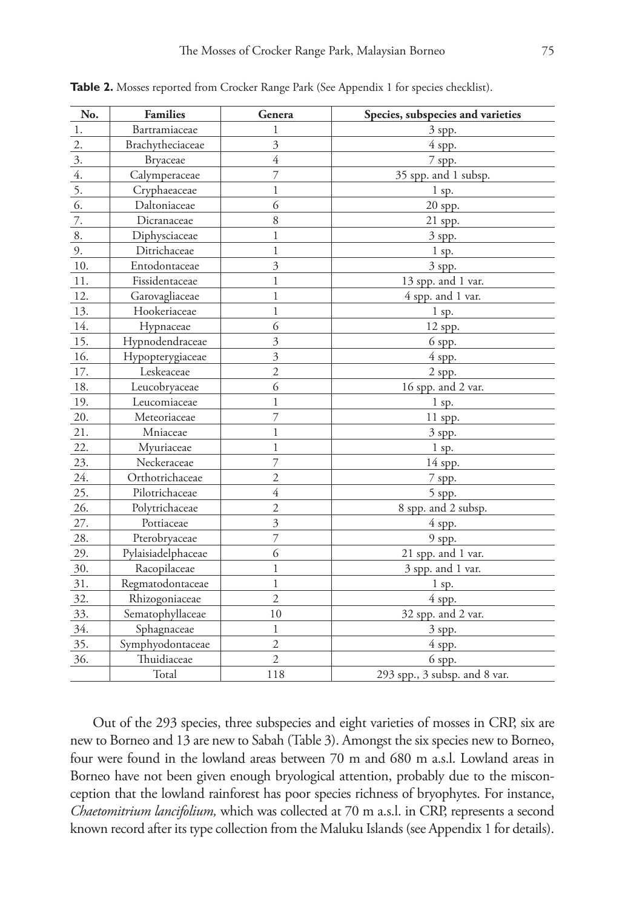| No.              | <b>Families</b>    | Genera                  | Species, subspecies and varieties |  |
|------------------|--------------------|-------------------------|-----------------------------------|--|
| 1.               | Bartramiaceae      | 1                       | 3 spp.                            |  |
| $\overline{2}$ . | Brachytheciaceae   | 3                       | 4 spp.                            |  |
| 3.               | <b>Bryaceae</b>    | $\overline{4}$          | 7 spp.                            |  |
| 4.               | Calymperaceae      | 7                       | 35 spp. and 1 subsp.              |  |
| 5.               | Cryphaeaceae       | 1                       | 1 sp.                             |  |
| 6.               | Daltoniaceae       | 6                       | 20 spp.                           |  |
| 7.               | Dicranaceae        | 8                       | 21 spp.                           |  |
| 8.               | Diphysciaceae      | $\,1$                   | 3 spp.                            |  |
| 9.               | Ditrichaceae       | $\mathbf{1}$            | 1 sp.                             |  |
| 10.              | Entodontaceae      | $\overline{\mathbf{3}}$ | 3 spp.                            |  |
| 11.              | Fissidentaceae     | $\mathbf{1}$            | 13 spp. and 1 var.                |  |
| 12.              | Garovagliaceae     | $\mathbf{1}$            | 4 spp. and 1 var.                 |  |
| 13.              | Hookeriaceae       | $\mathbf{1}$            | 1 sp.                             |  |
| 14.              | Hypnaceae          | 6                       | 12 spp.                           |  |
| 15.              | Hypnodendraceae    | 3                       | 6 spp.                            |  |
| 16.              | Hypopterygiaceae   | 3                       | 4 spp.                            |  |
| 17.              | Leskeaceae         | $\mathfrak{2}$          | $2$ spp.                          |  |
| 18.              | Leucobryaceae      | 6                       | 16 spp. and 2 var.                |  |
| 19.              | Leucomiaceae       | 1                       | $1$ sp.                           |  |
| 20.              | Meteoriaceae       | 7                       | $11$ spp.                         |  |
| 21.              | Mniaceae           | 1                       | 3 spp.                            |  |
| 22.              | Myuriaceae         | $\mathbf{1}$            | 1 sp.                             |  |
| 23.              | Neckeraceae        | 7                       | 14 spp.                           |  |
| 24.              | Orthotrichaceae    | $\overline{2}$          | 7 spp.                            |  |
| 25.              | Pilotrichaceae     | $\overline{4}$          | 5 spp.                            |  |
| 26.              | Polytrichaceae     | $\overline{2}$          | 8 spp. and 2 subsp.               |  |
| 27.              | Pottiaceae         | $\overline{\mathbf{3}}$ | 4 spp.                            |  |
| 28.              | Pterobryaceae      | 7                       | 9 spp.                            |  |
| 29.              | Pylaisiadelphaceae | 6                       | 21 spp. and 1 var.                |  |
| 30.              | Racopilaceae       | 1                       | 3 spp. and 1 var.                 |  |
| 31.              | Regmatodontaceae   | $\mathbf{1}$            | $1$ sp.                           |  |
| 32.              | Rhizogoniaceae     | $\overline{2}$          | 4 spp.                            |  |
| 33.              | Sematophyllaceae   | 10                      | 32 spp. and 2 var.                |  |
| 34.              | Sphagnaceae        | 1                       | 3 spp.                            |  |
| 35.              | Symphyodontaceae   | $\overline{2}$          | 4 spp.                            |  |
| 36.              | Thuidiaceae        | $\overline{c}$          | 6 spp.                            |  |
|                  | Total              | 118                     | 293 spp., 3 subsp. and 8 var.     |  |

**Table 2.** Mosses reported from Crocker Range Park (See Appendix 1 for species checklist).

Out of the 293 species, three subspecies and eight varieties of mosses in CRP, six are new to Borneo and 13 are new to Sabah (Table 3). Amongst the six species new to Borneo, four were found in the lowland areas between 70 m and 680 m a.s.l. Lowland areas in Borneo have not been given enough bryological attention, probably due to the misconception that the lowland rainforest has poor species richness of bryophytes. For instance, *Chaetomitrium lancifolium,* which was collected at 70 m a.s.l. in CRP, represents a second known record after its type collection from the Maluku Islands (see Appendix 1 for details).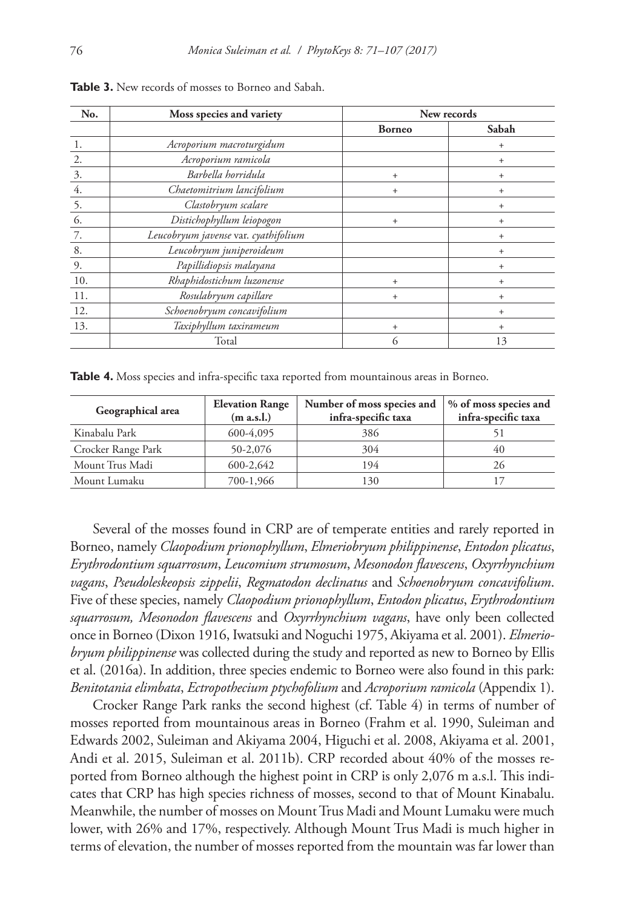| No.              | Moss species and variety             | New records   |        |
|------------------|--------------------------------------|---------------|--------|
|                  |                                      | <b>Borneo</b> | Sabah  |
| 1.               | Acroporium macroturgidum             |               | $^{+}$ |
| 2.               | Acroporium ramicola                  |               | $^{+}$ |
| 3.               | Barbella horridula                   | $+$           | $+$    |
| $\overline{4}$ . | Chaetomitrium lancifolium            | $+$           | $+$    |
| 5.               | Clastobryum scalare                  |               | $+$    |
| 6.               | Distichophyllum leiopogon            | $^{+}$        | $^{+}$ |
| 7.               | Leucobryum javense var. cyathifolium |               | $^{+}$ |
| 8.               | Leucobryum juniperoideum             |               | $^{+}$ |
| 9.               | Papillidiopsis malayana              |               | $^{+}$ |
| 10.              | Rhaphidostichum luzonense            | $+$           | $+$    |
| 11.              | Rosulabryum capillare                | $+$           | $+$    |
| 12.              | Schoenobryum concavifolium           |               | $^{+}$ |
| 13.              | Taxiphyllum taxirameum               | $+$           | $+$    |
|                  | Total                                | 6             | 13     |

**Table 3.** New records of mosses to Borneo and Sabah.

Table 4. Moss species and infra-specific taxa reported from mountainous areas in Borneo.

| Geographical area  | <b>Elevation Range</b><br>(m a.s.l.) | Number of moss species and<br>infra-specific taxa | % of moss species and<br>infra-specific taxa |
|--------------------|--------------------------------------|---------------------------------------------------|----------------------------------------------|
| Kinabalu Park      | 600-4,095                            | 386                                               |                                              |
| Crocker Range Park | 50-2,076                             | 304                                               | 40                                           |
| Mount Trus Madi    | 600-2,642                            | 194                                               | 26                                           |
| Mount Lumaku       | 700-1,966                            | 130                                               |                                              |

Several of the mosses found in CRP are of temperate entities and rarely reported in Borneo, namely *Claopodium prionophyllum*, *Elmeriobryum philippinense*, *Entodon plicatus*, *Erythrodontium squarrosum*, *Leucomium strumosum*, *Mesonodon flavescens*, *Oxyrrhynchium vagans*, *Pseudoleskeopsis zippelii*, *Regmatodon declinatus* and *Schoenobryum concavifolium*. Five of these species, namely *Claopodium prionophyllum*, *Entodon plicatus*, *Erythrodontium squarrosum, Mesonodon flavescens* and *Oxyrrhynchium vagans*, have only been collected once in Borneo (Dixon 1916, Iwatsuki and Noguchi 1975, Akiyama et al. 2001). *Elmeriobryum philippinense* was collected during the study and reported as new to Borneo by Ellis et al. (2016a). In addition, three species endemic to Borneo were also found in this park: *Benitotania elimbata*, *Ectropothecium ptychofolium* and *Acroporium ramicola* (Appendix 1).

Crocker Range Park ranks the second highest (cf. Table 4) in terms of number of mosses reported from mountainous areas in Borneo (Frahm et al. 1990, Suleiman and Edwards 2002, Suleiman and Akiyama 2004, Higuchi et al. 2008, Akiyama et al. 2001, Andi et al. 2015, Suleiman et al. 2011b). CRP recorded about 40% of the mosses reported from Borneo although the highest point in CRP is only 2,076 m a.s.l. This indicates that CRP has high species richness of mosses, second to that of Mount Kinabalu. Meanwhile, the number of mosses on Mount Trus Madi and Mount Lumaku were much lower, with 26% and 17%, respectively. Although Mount Trus Madi is much higher in terms of elevation, the number of mosses reported from the mountain was far lower than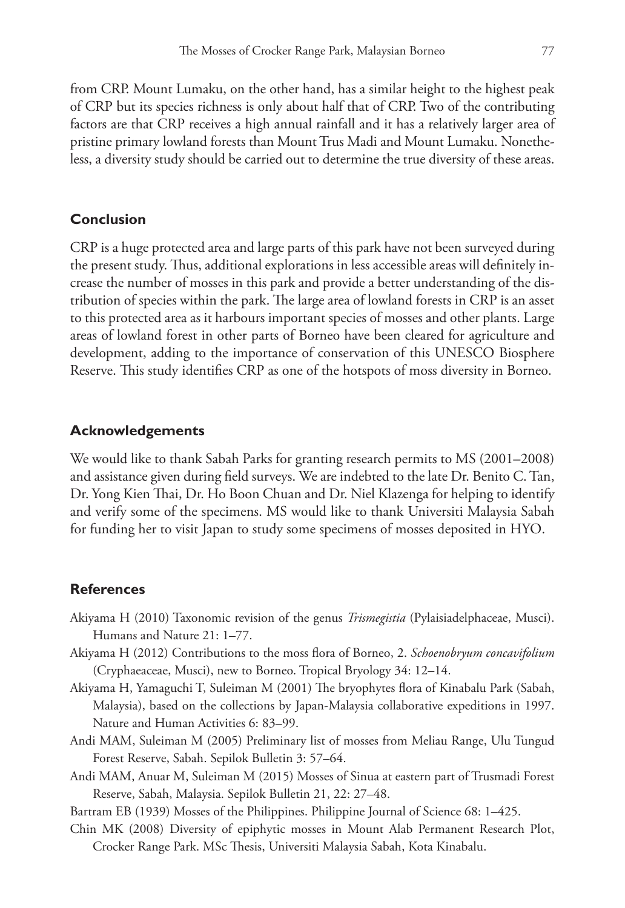from CRP. Mount Lumaku, on the other hand, has a similar height to the highest peak of CRP but its species richness is only about half that of CRP. Two of the contributing factors are that CRP receives a high annual rainfall and it has a relatively larger area of pristine primary lowland forests than Mount Trus Madi and Mount Lumaku. Nonetheless, a diversity study should be carried out to determine the true diversity of these areas.

#### **Conclusion**

CRP is a huge protected area and large parts of this park have not been surveyed during the present study. Thus, additional explorations in less accessible areas will definitely increase the number of mosses in this park and provide a better understanding of the distribution of species within the park. The large area of lowland forests in CRP is an asset to this protected area as it harbours important species of mosses and other plants. Large areas of lowland forest in other parts of Borneo have been cleared for agriculture and development, adding to the importance of conservation of this UNESCO Biosphere Reserve. This study identifies CRP as one of the hotspots of moss diversity in Borneo.

#### **Acknowledgements**

We would like to thank Sabah Parks for granting research permits to MS (2001–2008) and assistance given during field surveys. We are indebted to the late Dr. Benito C. Tan, Dr. Yong Kien Thai, Dr. Ho Boon Chuan and Dr. Niel Klazenga for helping to identify and verify some of the specimens. MS would like to thank Universiti Malaysia Sabah for funding her to visit Japan to study some specimens of mosses deposited in HYO.

#### **References**

- Akiyama H (2010) Taxonomic revision of the genus *Trismegistia* (Pylaisiadelphaceae, Musci). Humans and Nature 21: 1–77.
- Akiyama H (2012) Contributions to the moss flora of Borneo, 2. *Schoenobryum concavifolium*  (Cryphaeaceae, Musci), new to Borneo. Tropical Bryology 34: 12–14.
- Akiyama H, Yamaguchi T, Suleiman M (2001) The bryophytes flora of Kinabalu Park (Sabah, Malaysia), based on the collections by Japan-Malaysia collaborative expeditions in 1997. Nature and Human Activities 6: 83–99.
- Andi MAM, Suleiman M (2005) Preliminary list of mosses from Meliau Range, Ulu Tungud Forest Reserve, Sabah. Sepilok Bulletin 3: 57–64.
- Andi MAM, Anuar M, Suleiman M (2015) Mosses of Sinua at eastern part of Trusmadi Forest Reserve, Sabah, Malaysia. Sepilok Bulletin 21, 22: 27–48.
- Bartram EB (1939) Mosses of the Philippines. Philippine Journal of Science 68: 1–425.
- Chin MK (2008) Diversity of epiphytic mosses in Mount Alab Permanent Research Plot, Crocker Range Park. MSc Thesis, Universiti Malaysia Sabah, Kota Kinabalu.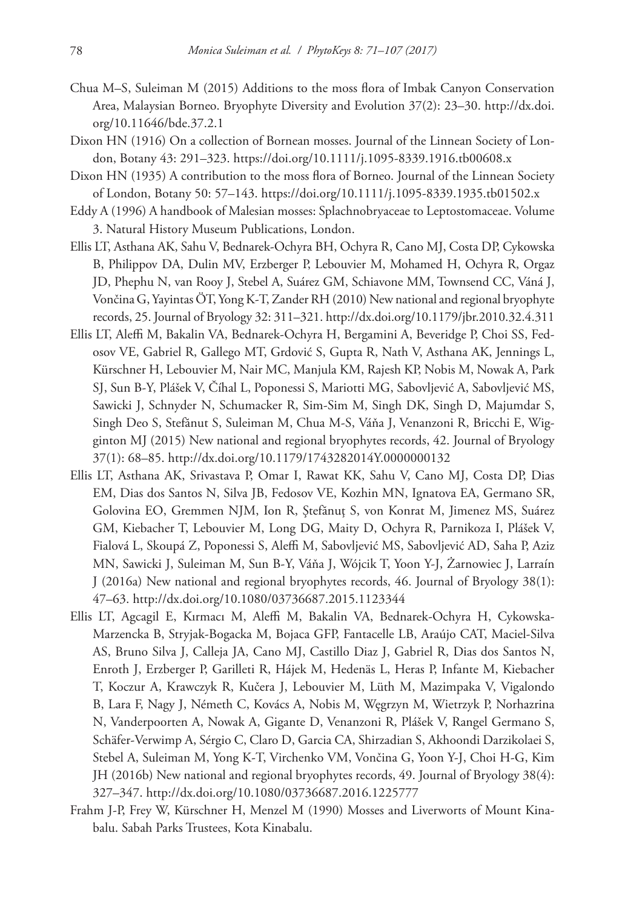- Chua M–S, Suleiman M (2015) Additions to the moss flora of Imbak Canyon Conservation Area, Malaysian Borneo. Bryophyte Diversity and Evolution 37(2): 23–30. [http://dx.doi.](http://dx.doi.org/10.11646/bde.37.2.1) [org/10.11646/bde.37.2.1](http://dx.doi.org/10.11646/bde.37.2.1)
- Dixon HN (1916) On a collection of Bornean mosses. Journal of the Linnean Society of London, Botany 43: 291–323. <https://doi.org/10.1111/j.1095-8339.1916.tb00608.x>
- Dixon HN (1935) A contribution to the moss flora of Borneo. Journal of the Linnean Society of London, Botany 50: 57–143. <https://doi.org/10.1111/j.1095-8339.1935.tb01502.x>
- Eddy A (1996) A handbook of Malesian mosses: Splachnobryaceae to Leptostomaceae. Volume 3. Natural History Museum Publications, London.
- Ellis LT, Asthana AK, Sahu V, Bednarek-Ochyra BH, Ochyra R, Cano MJ, Costa DP, Cykowska B, Philippov DA, Dulin MV, Erzberger P, Lebouvier M, Mohamed H, Ochyra R, Orgaz JD, Phephu N, van Rooy J, Stebel A, Suárez GM, Schiavone MM, Townsend CC, Váná J, Vončina G, Yayintas ÖT, Yong K-T, Zander RH (2010) New national and regional bryophyte records, 25. Journal of Bryology 32: 311–321.<http://dx.doi.org/10.1179/jbr.2010.32.4.311>
- Ellis LT, Aleffi M, Bakalin VA, Bednarek-Ochyra H, Bergamini A, Beveridge P, Choi SS, Fedosov VE, Gabriel R, Gallego MT, Grdović S, Gupta R, Nath V, Asthana AK, Jennings L, Kürschner H, Lebouvier M, Nair MC, Manjula KM, Rajesh KP, Nobis M, Nowak A, Park SJ, Sun B-Y, Plášek V, Číhal L, Poponessi S, Mariotti MG, Sabovljević A, Sabovljević MS, Sawicki J, Schnyder N, Schumacker R, Sim-Sim M, Singh DK, Singh D, Majumdar S, Singh Deo S, Stefănut S, Suleiman M, Chua M-S, Váňa J, Venanzoni R, Bricchi E, Wigginton MJ (2015) New national and regional bryophytes records, 42. Journal of Bryology 37(1): 68–85. <http://dx.doi.org/10.1179/1743282014Y.0000000132>
- Ellis LT, Asthana AK, Srivastava P, Omar I, Rawat KK, Sahu V, Cano MJ, Costa DP, Dias EM, Dias dos Santos N, Silva JB, Fedosov VE, Kozhin MN, Ignatova EA, Germano SR, Golovina EO, Gremmen NJM, Ion R, Ştefănuţ S, von Konrat M, Jimenez MS, Suárez GM, Kiebacher T, Lebouvier M, Long DG, Maity D, Ochyra R, Parnikoza I, Plášek V, Fialová L, Skoupá Z, Poponessi S, Aleffi M, Sabovljević MS, Sabovljević AD, Saha P, Aziz MN, Sawicki J, Suleiman M, Sun B-Y, Váňa J, Wójcik T, Yoon Y-J, Żarnowiec J, Larraín J (2016a) New national and regional bryophytes records, 46. Journal of Bryology 38(1): 47–63.<http://dx.doi.org/10.1080/03736687.2015.1123344>
- Ellis LT, Agcagil E, Kırmacı M, Aleffi M, Bakalin VA, Bednarek-Ochyra H, Cykowska-Marzencka B, Stryjak-Bogacka M, Bojaca GFP, Fantacelle LB, Araújo CAT, Maciel-Silva AS, Bruno Silva J, Calleja JA, Cano MJ, Castillo Diaz J, Gabriel R, Dias dos Santos N, Enroth J, Erzberger P, Garilleti R, Hájek M, Hedenäs L, Heras P, Infante M, Kiebacher T, Koczur A, Krawczyk R, Kučera J, Lebouvier M, Lüth M, Mazimpaka V, Vigalondo B, Lara F, Nagy J, Németh C, Kovács A, Nobis M, Węgrzyn M, Wietrzyk P, Norhazrina N, Vanderpoorten A, Nowak A, Gigante D, Venanzoni R, Plášek V, Rangel Germano S, Schäfer-Verwimp A, Sérgio C, Claro D, Garcia CA, Shirzadian S, Akhoondi Darzikolaei S, Stebel A, Suleiman M, Yong K-T, Virchenko VM, Vončina G, Yoon Y-J, Choi H-G, Kim JH (2016b) New national and regional bryophytes records, 49. Journal of Bryology 38(4): 327–347.<http://dx.doi.org/10.1080/03736687.2016.1225777>
- Frahm J-P, Frey W, Kürschner H, Menzel M (1990) Mosses and Liverworts of Mount Kinabalu. Sabah Parks Trustees, Kota Kinabalu.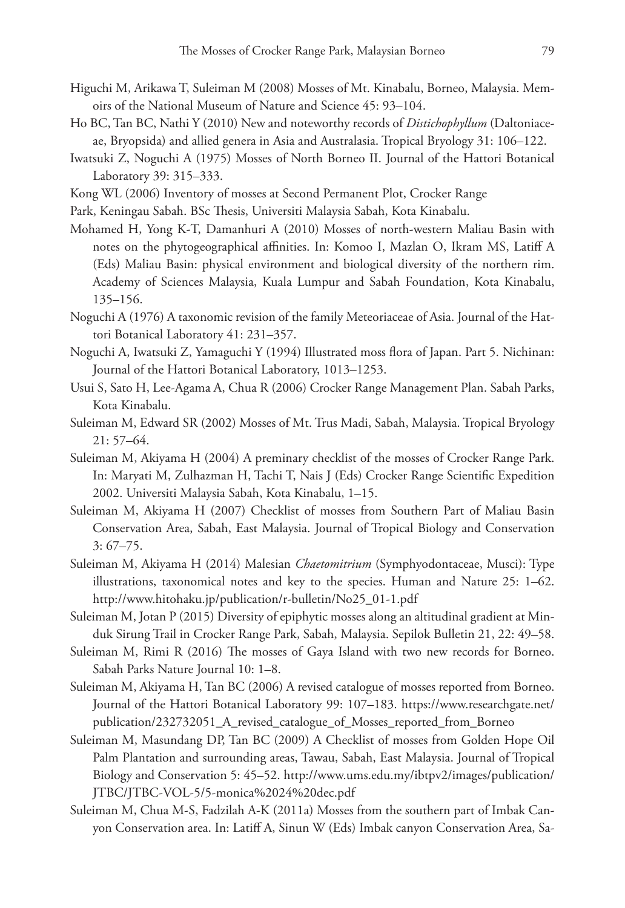- Higuchi M, Arikawa T, Suleiman M (2008) Mosses of Mt. Kinabalu, Borneo, Malaysia. Memoirs of the National Museum of Nature and Science 45: 93–104.
- Ho BC, Tan BC, Nathi Y (2010) New and noteworthy records of *Distichophyllum* (Daltoniaceae, Bryopsida) and allied genera in Asia and Australasia. Tropical Bryology 31: 106–122.
- Iwatsuki Z, Noguchi A (1975) Mosses of North Borneo II. Journal of the Hattori Botanical Laboratory 39: 315–333.
- Kong WL (2006) Inventory of mosses at Second Permanent Plot, Crocker Range
- Park, Keningau Sabah. BSc Thesis, Universiti Malaysia Sabah, Kota Kinabalu.
- Mohamed H, Yong K-T, Damanhuri A (2010) Mosses of north-western Maliau Basin with notes on the phytogeographical affinities. In: Komoo I, Mazlan O, Ikram MS, Latiff A (Eds) Maliau Basin: physical environment and biological diversity of the northern rim. Academy of Sciences Malaysia, Kuala Lumpur and Sabah Foundation, Kota Kinabalu, 135–156.
- Noguchi A (1976) A taxonomic revision of the family Meteoriaceae of Asia. Journal of the Hattori Botanical Laboratory 41: 231–357.
- Noguchi A, Iwatsuki Z, Yamaguchi Y (1994) Illustrated moss flora of Japan. Part 5. Nichinan: Journal of the Hattori Botanical Laboratory, 1013–1253.
- Usui S, Sato H, Lee-Agama A, Chua R (2006) Crocker Range Management Plan. Sabah Parks, Kota Kinabalu.
- Suleiman M, Edward SR (2002) Mosses of Mt. Trus Madi, Sabah, Malaysia. Tropical Bryology 21: 57–64.
- Suleiman M, Akiyama H (2004) A preminary checklist of the mosses of Crocker Range Park. In: Maryati M, Zulhazman H, Tachi T, Nais J (Eds) Crocker Range Scientific Expedition 2002. Universiti Malaysia Sabah, Kota Kinabalu, 1–15.
- Suleiman M, Akiyama H (2007) Checklist of mosses from Southern Part of Maliau Basin Conservation Area, Sabah, East Malaysia. Journal of Tropical Biology and Conservation 3: 67–75.
- Suleiman M, Akiyama H (2014) Malesian *Chaetomitrium* (Symphyodontaceae, Musci): Type illustrations, taxonomical notes and key to the species. Human and Nature 25: 1–62. [http://www.hitohaku.jp/publication/r-bulletin/No25\\_01-1.pdf](http://www.hitohaku.jp/publication/r-bulletin/No25_01-1.pdf)
- Suleiman M, Jotan P (2015) Diversity of epiphytic mosses along an altitudinal gradient at Minduk Sirung Trail in Crocker Range Park, Sabah, Malaysia. Sepilok Bulletin 21, 22: 49–58.
- Suleiman M, Rimi R (2016) The mosses of Gaya Island with two new records for Borneo. Sabah Parks Nature Journal 10: 1–8.
- Suleiman M, Akiyama H, Tan BC (2006) A revised catalogue of mosses reported from Borneo. Journal of the Hattori Botanical Laboratory 99: 107–183. [https://www.researchgate.net/](https://www.researchgate.net/publication/232732051_A_revised_catalogue_of_Mosses_reported_from_Borneo) [publication/232732051\\_A\\_revised\\_catalogue\\_of\\_Mosses\\_reported\\_from\\_Borneo](https://www.researchgate.net/publication/232732051_A_revised_catalogue_of_Mosses_reported_from_Borneo)
- Suleiman M, Masundang DP, Tan BC (2009) A Checklist of mosses from Golden Hope Oil Palm Plantation and surrounding areas, Tawau, Sabah, East Malaysia. Journal of Tropical Biology and Conservation 5: 45–52. [http://www.ums.edu.my/ibtpv2/images/publication/](http://www.ums.edu.my/ibtpv2/images/publication/JTBC/JTBC-VOL-5/5-monica%2024%20dec.pdf) [JTBC/JTBC-VOL-5/5-monica%2024%20dec.pdf](http://www.ums.edu.my/ibtpv2/images/publication/JTBC/JTBC-VOL-5/5-monica%2024%20dec.pdf)
- Suleiman M, Chua M-S, Fadzilah A-K (2011a) Mosses from the southern part of Imbak Canyon Conservation area. In: Latiff A, Sinun W (Eds) Imbak canyon Conservation Area, Sa-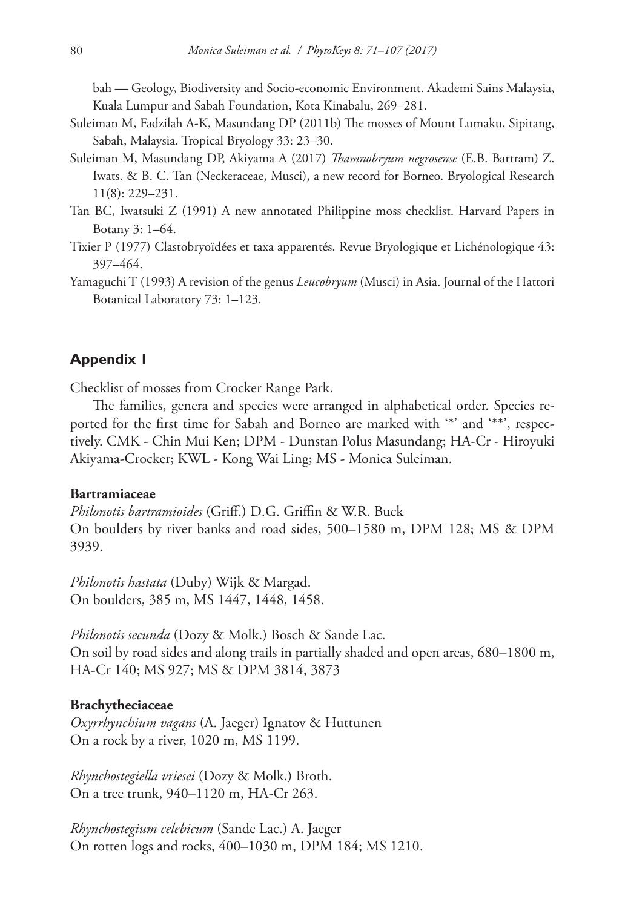bah — Geology, Biodiversity and Socio-economic Environment. Akademi Sains Malaysia, Kuala Lumpur and Sabah Foundation, Kota Kinabalu, 269–281.

- Suleiman M, Fadzilah A-K, Masundang DP (2011b) The mosses of Mount Lumaku, Sipitang, Sabah, Malaysia. Tropical Bryology 33: 23–30.
- Suleiman M, Masundang DP, Akiyama A (2017) *Thamnobryum negrosense* (E.B. Bartram) Z. Iwats. & B. C. Tan (Neckeraceae, Musci), a new record for Borneo. Bryological Research 11(8): 229–231.
- Tan BC, Iwatsuki Z (1991) A new annotated Philippine moss checklist. Harvard Papers in Botany 3: 1–64.
- Tixier P (1977) Clastobryoïdées et taxa apparentés. Revue Bryologique et Lichénologique 43: 397–464.
- Yamaguchi T (1993) A revision of the genus *Leucobryum* (Musci) in Asia. Journal of the Hattori Botanical Laboratory 73: 1–123.

### **Appendix 1**

Checklist of mosses from Crocker Range Park.

The families, genera and species were arranged in alphabetical order. Species reported for the first time for Sabah and Borneo are marked with '\*' and '\*\*', respectively. CMK - Chin Mui Ken; DPM - Dunstan Polus Masundang; HA-Cr - Hiroyuki Akiyama-Crocker; KWL - Kong Wai Ling; MS - Monica Suleiman.

#### **Bartramiaceae**

*Philonotis bartramioides* (Griff.) D.G. Griffin & W.R. Buck On boulders by river banks and road sides, 500–1580 m, DPM 128; MS & DPM 3939.

*Philonotis hastata* (Duby) Wijk & Margad. On boulders, 385 m, MS 1447, 1448, 1458.

*Philonotis secunda* (Dozy & Molk.) Bosch & Sande Lac. On soil by road sides and along trails in partially shaded and open areas, 680–1800 m, HA-Cr 140; MS 927; MS & DPM 3814, 3873

#### **Brachytheciaceae**

*Oxyrrhynchium vagans* (A. Jaeger) Ignatov & Huttunen On a rock by a river, 1020 m, MS 1199.

*Rhynchostegiella vriesei* (Dozy & Molk.) Broth. On a tree trunk, 940–1120 m, HA-Cr 263.

*Rhynchostegium celebicum* (Sande Lac.) A. Jaeger On rotten logs and rocks, 400–1030 m, DPM 184; MS 1210.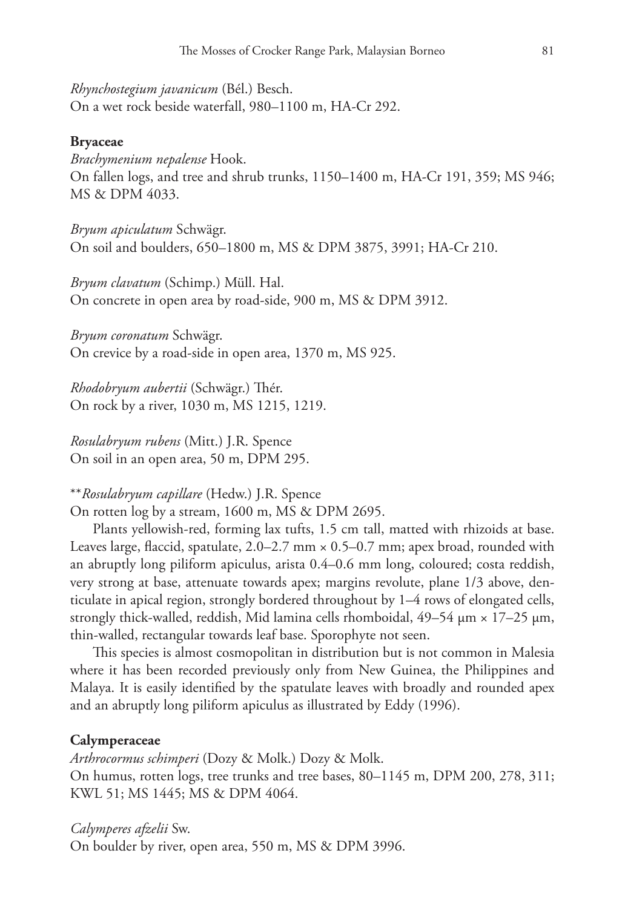*Rhynchostegium javanicum* (Bél.) Besch. On a wet rock beside waterfall, 980–1100 m, HA-Cr 292.

#### **Bryaceae**

*Brachymenium nepalense* Hook. On fallen logs, and tree and shrub trunks, 1150–1400 m, HA-Cr 191, 359; MS 946; MS & DPM 4033.

*Bryum apiculatum* Schwägr. On soil and boulders, 650–1800 m, MS & DPM 3875, 3991; HA-Cr 210.

*Bryum clavatum* (Schimp.) Müll. Hal. On concrete in open area by road-side, 900 m, MS & DPM 3912.

*Bryum coronatum* Schwägr. On crevice by a road-side in open area, 1370 m, MS 925.

*Rhodobryum aubertii* (Schwägr.) Thér. On rock by a river, 1030 m, MS 1215, 1219.

*Rosulabryum rubens* (Mitt.) J.R. Spence On soil in an open area, 50 m, DPM 295.

#### \*\**Rosulabryum capillare* (Hedw.) J.R. Spence

On rotten log by a stream, 1600 m, MS & DPM 2695.

Plants yellowish-red, forming lax tufts, 1.5 cm tall, matted with rhizoids at base. Leaves large, flaccid, spatulate,  $2.0-2.7$  mm  $\times$  0.5–0.7 mm; apex broad, rounded with an abruptly long piliform apiculus, arista 0.4–0.6 mm long, coloured; costa reddish, very strong at base, attenuate towards apex; margins revolute, plane 1/3 above, denticulate in apical region, strongly bordered throughout by 1–4 rows of elongated cells, strongly thick-walled, reddish, Mid lamina cells rhomboidal,  $49-54 \mu m \times 17-25 \mu m$ , thin-walled, rectangular towards leaf base. Sporophyte not seen.

This species is almost cosmopolitan in distribution but is not common in Malesia where it has been recorded previously only from New Guinea, the Philippines and Malaya. It is easily identified by the spatulate leaves with broadly and rounded apex and an abruptly long piliform apiculus as illustrated by Eddy (1996).

#### **Calymperaceae**

*Arthrocormus schimperi* (Dozy & Molk.) Dozy & Molk. On humus, rotten logs, tree trunks and tree bases, 80–1145 m, DPM 200, 278, 311; KWL 51; MS 1445; MS & DPM 4064.

#### *Calymperes afzelii* Sw.

On boulder by river, open area, 550 m, MS & DPM 3996.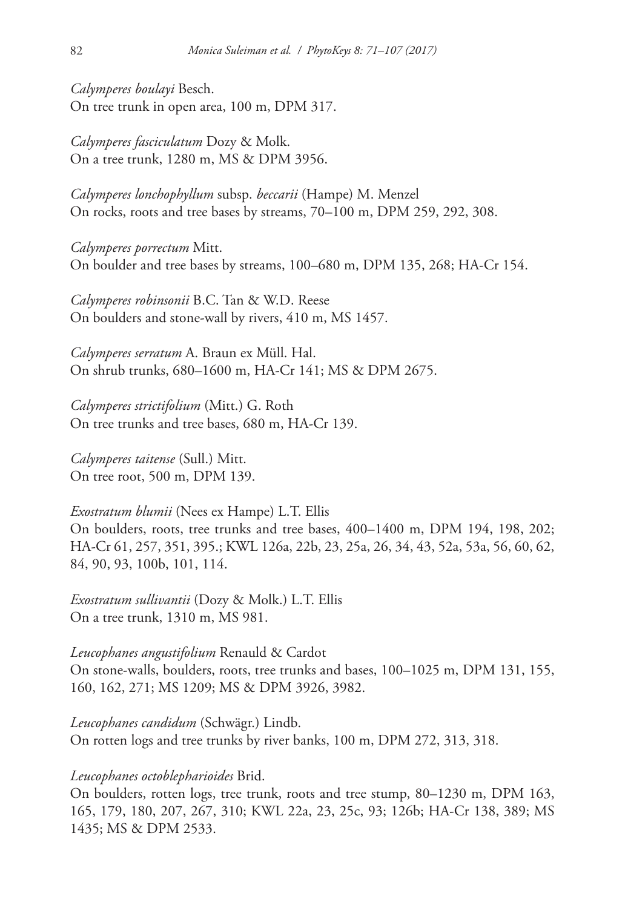*Calymperes boulayi* Besch. On tree trunk in open area, 100 m, DPM 317.

*Calymperes fasciculatum* Dozy & Molk. On a tree trunk, 1280 m, MS & DPM 3956.

*Calymperes lonchophyllum* subsp. *beccarii* (Hampe) M. Menzel On rocks, roots and tree bases by streams, 70–100 m, DPM 259, 292, 308.

*Calymperes porrectum* Mitt. On boulder and tree bases by streams, 100–680 m, DPM 135, 268; HA-Cr 154.

*Calymperes robinsonii* B.C. Tan & W.D. Reese On boulders and stone-wall by rivers, 410 m, MS 1457.

*Calymperes serratum* A. Braun ex Müll. Hal. On shrub trunks, 680–1600 m, HA-Cr 141; MS & DPM 2675.

*Calymperes strictifolium* (Mitt.) G. Roth On tree trunks and tree bases, 680 m, HA-Cr 139.

*Calymperes taitense* (Sull.) Mitt. On tree root, 500 m, DPM 139.

*Exostratum blumii* (Nees ex Hampe) L.T. Ellis On boulders, roots, tree trunks and tree bases, 400–1400 m, DPM 194, 198, 202; HA-Cr 61, 257, 351, 395.; KWL 126a, 22b, 23, 25a, 26, 34, 43, 52a, 53a, 56, 60, 62, 84, 90, 93, 100b, 101, 114.

*Exostratum sullivantii* (Dozy & Molk.) L.T. Ellis On a tree trunk, 1310 m, MS 981.

*Leucophanes angustifolium* Renauld & Cardot On stone-walls, boulders, roots, tree trunks and bases, 100–1025 m, DPM 131, 155, 160, 162, 271; MS 1209; MS & DPM 3926, 3982.

*Leucophanes candidum* (Schwägr.) Lindb. On rotten logs and tree trunks by river banks, 100 m, DPM 272, 313, 318.

### *Leucophanes octoblepharioides* Brid.

On boulders, rotten logs, tree trunk, roots and tree stump, 80–1230 m, DPM 163, 165, 179, 180, 207, 267, 310; KWL 22a, 23, 25c, 93; 126b; HA-Cr 138, 389; MS 1435; MS & DPM 2533.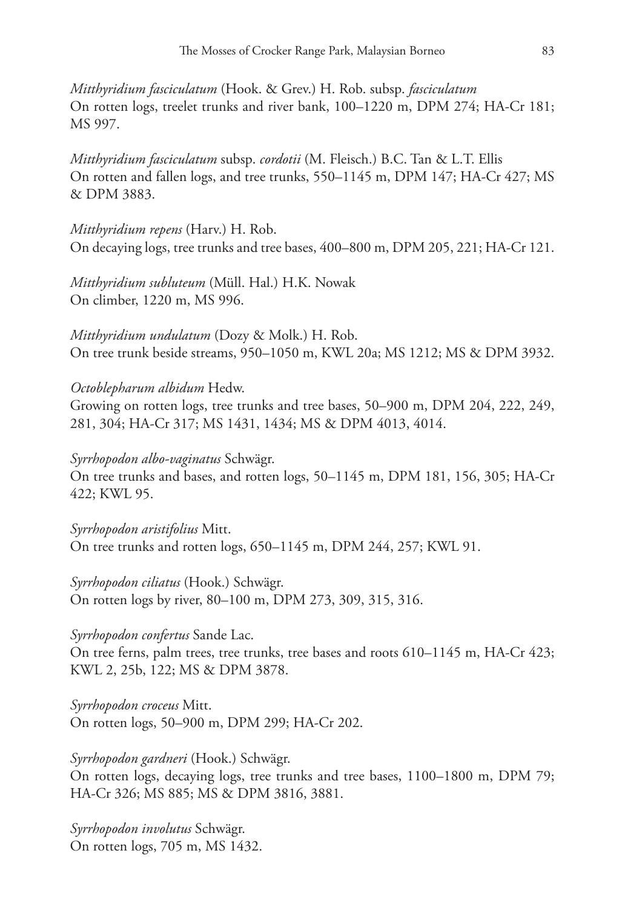*Mitthyridium fasciculatum* (Hook. & Grev.) H. Rob. subsp. *fasciculatum* On rotten logs, treelet trunks and river bank, 100–1220 m, DPM 274; HA-Cr 181; MS 997.

*Mitthyridium fasciculatum* subsp. *cordotii* (M. Fleisch.) B.C. Tan & L.T. Ellis On rotten and fallen logs, and tree trunks, 550–1145 m, DPM 147; HA-Cr 427; MS & DPM 3883.

*Mitthyridium repens* (Harv.) H. Rob. On decaying logs, tree trunks and tree bases, 400–800 m, DPM 205, 221; HA-Cr 121.

*Mitthyridium subluteum* (Müll. Hal.) H.K. Nowak On climber, 1220 m, MS 996.

*Mitthyridium undulatum* (Dozy & Molk.) H. Rob. On tree trunk beside streams, 950–1050 m, KWL 20a; MS 1212; MS & DPM 3932.

*Octoblepharum albidum* Hedw.

Growing on rotten logs, tree trunks and tree bases, 50–900 m, DPM 204, 222, 249, 281, 304; HA-Cr 317; MS 1431, 1434; MS & DPM 4013, 4014.

*Syrrhopodon albo-vaginatus* Schwägr.

On tree trunks and bases, and rotten logs, 50–1145 m, DPM 181, 156, 305; HA-Cr 422; KWL 95.

*Syrrhopodon aristifolius* Mitt. On tree trunks and rotten logs, 650–1145 m, DPM 244, 257; KWL 91.

*Syrrhopodon ciliatus* (Hook.) Schwägr. On rotten logs by river, 80–100 m, DPM 273, 309, 315, 316.

### *Syrrhopodon confertus* Sande Lac.

On tree ferns, palm trees, tree trunks, tree bases and roots 610–1145 m, HA-Cr 423; KWL 2, 25b, 122; MS & DPM 3878.

*Syrrhopodon croceus* Mitt. On rotten logs, 50–900 m, DPM 299; HA-Cr 202.

*Syrrhopodon gardneri* (Hook.) Schwägr.

On rotten logs, decaying logs, tree trunks and tree bases, 1100–1800 m, DPM 79; HA-Cr 326; MS 885; MS & DPM 3816, 3881.

*Syrrhopodon involutus* Schwägr. On rotten logs, 705 m, MS 1432.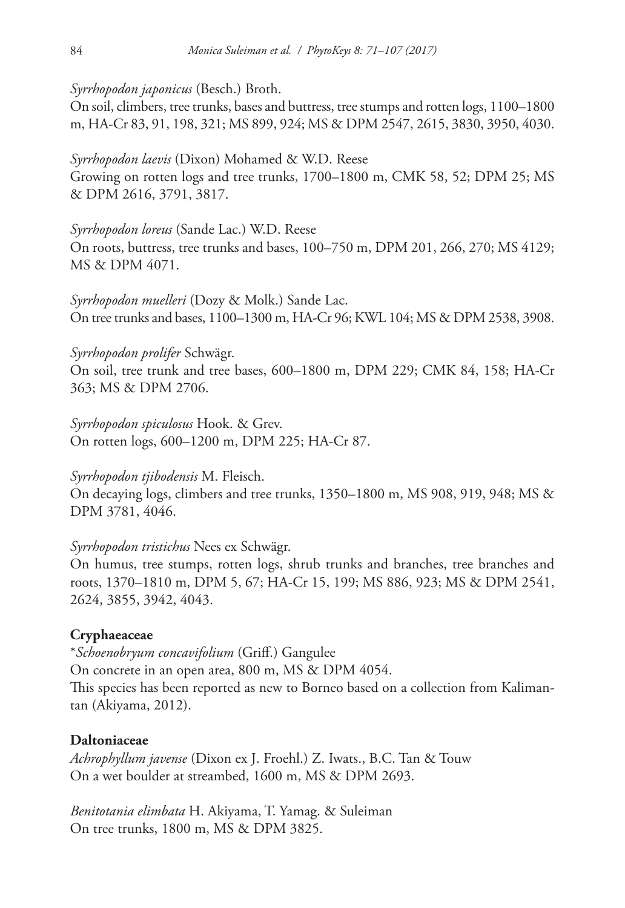*Syrrhopodon japonicus* (Besch.) Broth.

On soil, climbers, tree trunks, bases and buttress, tree stumps and rotten logs, 1100–1800 m, HA-Cr 83, 91, 198, 321; MS 899, 924; MS & DPM 2547, 2615, 3830, 3950, 4030.

*Syrrhopodon laevis* (Dixon) Mohamed & W.D. Reese

Growing on rotten logs and tree trunks, 1700–1800 m, CMK 58, 52; DPM 25; MS & DPM 2616, 3791, 3817.

# *Syrrhopodon loreus* (Sande Lac.) W.D. Reese

On roots, buttress, tree trunks and bases, 100–750 m, DPM 201, 266, 270; MS 4129; MS & DPM 4071.

*Syrrhopodon muelleri* (Dozy & Molk.) Sande Lac. On tree trunks and bases, 1100–1300 m, HA-Cr 96; KWL 104; MS & DPM 2538, 3908.

# *Syrrhopodon prolifer* Schwägr.

On soil, tree trunk and tree bases, 600–1800 m, DPM 229; CMK 84, 158; HA-Cr 363; MS & DPM 2706.

*Syrrhopodon spiculosus* Hook. & Grev. On rotten logs, 600–1200 m, DPM 225; HA-Cr 87.

# *Syrrhopodon tjibodensis* M. Fleisch.

On decaying logs, climbers and tree trunks, 1350–1800 m, MS 908, 919, 948; MS & DPM 3781, 4046.

# *Syrrhopodon tristichus* Nees ex Schwägr.

On humus, tree stumps, rotten logs, shrub trunks and branches, tree branches and roots, 1370–1810 m, DPM 5, 67; HA-Cr 15, 199; MS 886, 923; MS & DPM 2541, 2624, 3855, 3942, 4043.

# **Cryphaeaceae**

\**Schoenobryum concavifolium* (Griff.) Gangulee On concrete in an open area, 800 m, MS & DPM 4054. This species has been reported as new to Borneo based on a collection from Kalimantan (Akiyama, 2012).

# **Daltoniaceae**

*Achrophyllum javense* (Dixon ex J. Froehl.) Z. Iwats., B.C. Tan & Touw On a wet boulder at streambed, 1600 m, MS & DPM 2693.

*Benitotania elimbata* H. Akiyama, T. Yamag. & Suleiman On tree trunks, 1800 m, MS & DPM 3825.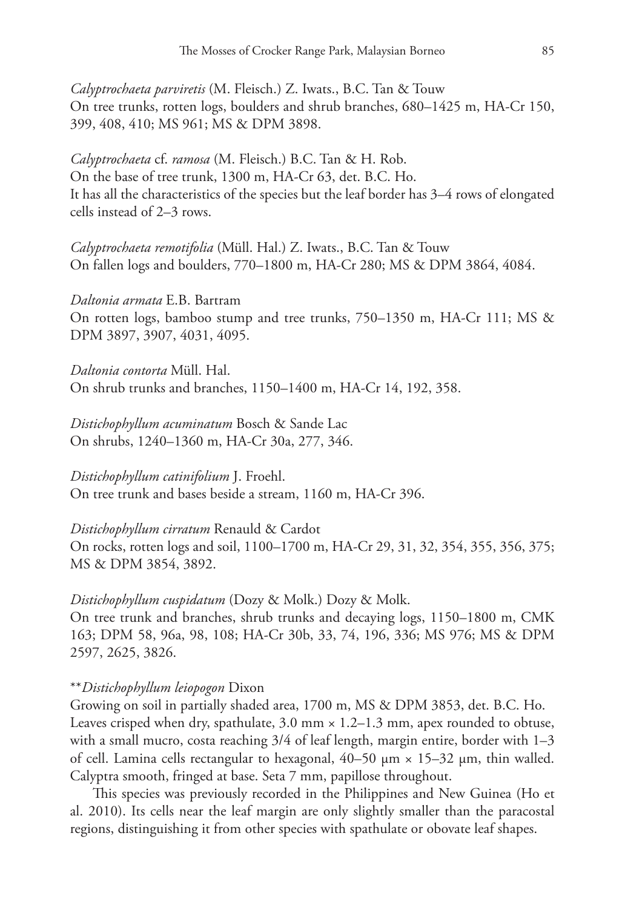*Calyptrochaeta parviretis* (M. Fleisch.) Z. Iwats., B.C. Tan & Touw On tree trunks, rotten logs, boulders and shrub branches, 680–1425 m, HA-Cr 150, 399, 408, 410; MS 961; MS & DPM 3898.

*Calyptrochaeta* cf. *ramosa* (M. Fleisch.) B.C. Tan & H. Rob. On the base of tree trunk, 1300 m, HA-Cr 63, det. B.C. Ho. It has all the characteristics of the species but the leaf border has 3–4 rows of elongated cells instead of 2–3 rows.

*Calyptrochaeta remotifolia* (Müll. Hal.) Z. Iwats., B.C. Tan & Touw On fallen logs and boulders, 770–1800 m, HA-Cr 280; MS & DPM 3864, 4084.

*Daltonia armata* E.B. Bartram On rotten logs, bamboo stump and tree trunks, 750–1350 m, HA-Cr 111; MS & DPM 3897, 3907, 4031, 4095.

*Daltonia contorta* Müll. Hal. On shrub trunks and branches, 1150–1400 m, HA-Cr 14, 192, 358.

*Distichophyllum acuminatum* Bosch & Sande Lac On shrubs, 1240–1360 m, HA-Cr 30a, 277, 346.

*Distichophyllum catinifolium* J. Froehl. On tree trunk and bases beside a stream, 1160 m, HA-Cr 396.

*Distichophyllum cirratum* Renauld & Cardot On rocks, rotten logs and soil, 1100–1700 m, HA-Cr 29, 31, 32, 354, 355, 356, 375; MS & DPM 3854, 3892.

*Distichophyllum cuspidatum* (Dozy & Molk.) Dozy & Molk.

On tree trunk and branches, shrub trunks and decaying logs, 1150–1800 m, CMK 163; DPM 58, 96a, 98, 108; HA-Cr 30b, 33, 74, 196, 336; MS 976; MS & DPM 2597, 2625, 3826.

### \*\**Distichophyllum leiopogon* Dixon

Growing on soil in partially shaded area, 1700 m, MS & DPM 3853, det. B.C. Ho. Leaves crisped when dry, spathulate,  $3.0 \text{ mm} \times 1.2 - 1.3 \text{ mm}$ , apex rounded to obtuse, with a small mucro, costa reaching 3/4 of leaf length, margin entire, border with 1–3 of cell. Lamina cells rectangular to hexagonal,  $40-50 \mu m \times 15-32 \mu m$ , thin walled. Calyptra smooth, fringed at base. Seta 7 mm, papillose throughout.

This species was previously recorded in the Philippines and New Guinea (Ho et al. 2010). Its cells near the leaf margin are only slightly smaller than the paracostal regions, distinguishing it from other species with spathulate or obovate leaf shapes.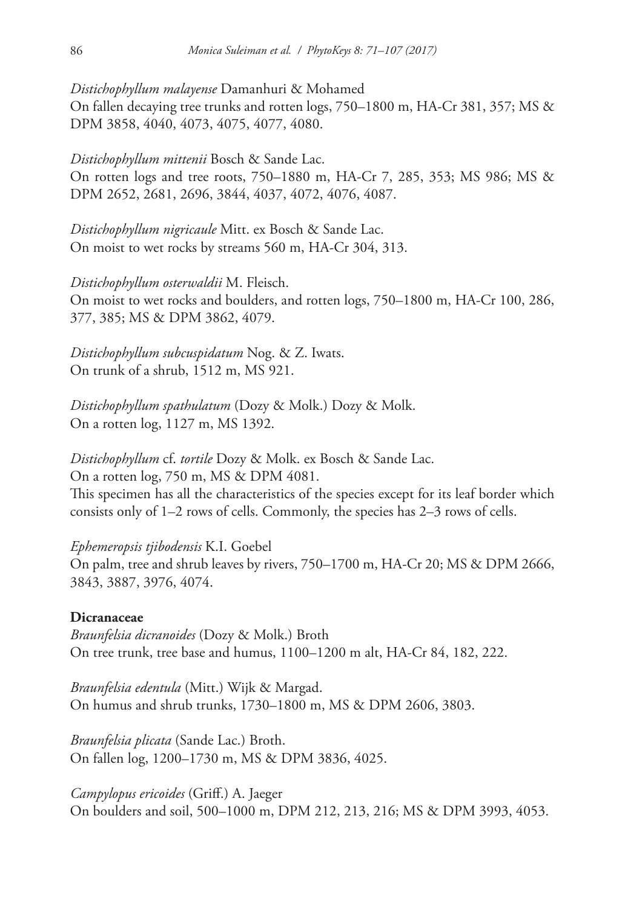*Distichophyllum malayense* Damanhuri & Mohamed On fallen decaying tree trunks and rotten logs, 750–1800 m, HA-Cr 381, 357; MS & DPM 3858, 4040, 4073, 4075, 4077, 4080.

*Distichophyllum mittenii* Bosch & Sande Lac. On rotten logs and tree roots, 750–1880 m, HA-Cr 7, 285, 353; MS 986; MS & DPM 2652, 2681, 2696, 3844, 4037, 4072, 4076, 4087.

*Distichophyllum nigricaule* Mitt. ex Bosch & Sande Lac. On moist to wet rocks by streams 560 m, HA-Cr 304, 313.

*Distichophyllum osterwaldii* M. Fleisch. On moist to wet rocks and boulders, and rotten logs, 750–1800 m, HA-Cr 100, 286, 377, 385; MS & DPM 3862, 4079.

*Distichophyllum subcuspidatum* Nog. & Z. Iwats. On trunk of a shrub, 1512 m, MS 921.

*Distichophyllum spathulatum* (Dozy & Molk.) Dozy & Molk. On a rotten log, 1127 m, MS 1392.

*Distichophyllum* cf. *tortile* Dozy & Molk. ex Bosch & Sande Lac. On a rotten log, 750 m, MS & DPM 4081. This specimen has all the characteristics of the species except for its leaf border which consists only of 1–2 rows of cells. Commonly, the species has 2–3 rows of cells.

*Ephemeropsis tjibodensis* K.I. Goebel On palm, tree and shrub leaves by rivers, 750–1700 m, HA-Cr 20; MS & DPM 2666, 3843, 3887, 3976, 4074.

### **Dicranaceae**

*Braunfelsia dicranoides* (Dozy & Molk.) Broth On tree trunk, tree base and humus, 1100–1200 m alt, HA-Cr 84, 182, 222.

*Braunfelsia edentula* (Mitt.) Wijk & Margad. On humus and shrub trunks, 1730–1800 m, MS & DPM 2606, 3803.

*Braunfelsia plicata* (Sande Lac.) Broth. On fallen log, 1200–1730 m, MS & DPM 3836, 4025.

*Campylopus ericoides* (Griff.) A. Jaeger On boulders and soil, 500–1000 m, DPM 212, 213, 216; MS & DPM 3993, 4053.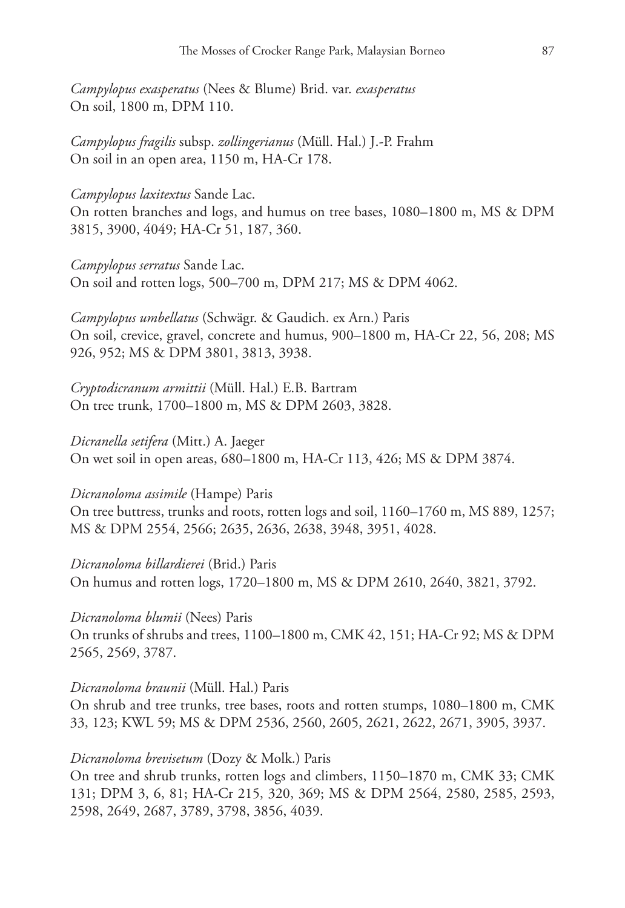*Campylopus exasperatus* (Nees & Blume) Brid. var. *exasperatus* On soil, 1800 m, DPM 110.

*Campylopus fragilis* subsp. *zollingerianus* (Müll. Hal.) J.-P. Frahm On soil in an open area, 1150 m, HA-Cr 178.

### *Campylopus laxitextus* Sande Lac.

On rotten branches and logs, and humus on tree bases, 1080–1800 m, MS & DPM 3815, 3900, 4049; HA-Cr 51, 187, 360.

*Campylopus serratus* Sande Lac. On soil and rotten logs, 500–700 m, DPM 217; MS & DPM 4062.

*Campylopus umbellatus* (Schwägr. & Gaudich. ex Arn.) Paris On soil, crevice, gravel, concrete and humus, 900–1800 m, HA-Cr 22, 56, 208; MS 926, 952; MS & DPM 3801, 3813, 3938.

*Cryptodicranum armittii* (Müll. Hal.) E.B. Bartram On tree trunk, 1700–1800 m, MS & DPM 2603, 3828.

*Dicranella setifera* (Mitt.) A. Jaeger On wet soil in open areas, 680–1800 m, HA-Cr 113, 426; MS & DPM 3874.

*Dicranoloma assimile* (Hampe) Paris

On tree buttress, trunks and roots, rotten logs and soil, 1160–1760 m, MS 889, 1257; MS & DPM 2554, 2566; 2635, 2636, 2638, 3948, 3951, 4028.

*Dicranoloma billardierei* (Brid.) Paris On humus and rotten logs, 1720–1800 m, MS & DPM 2610, 2640, 3821, 3792.

*Dicranoloma blumii* (Nees) Paris On trunks of shrubs and trees, 1100–1800 m, CMK 42, 151; HA-Cr 92; MS & DPM 2565, 2569, 3787.

#### *Dicranoloma braunii* (Müll. Hal.) Paris

On shrub and tree trunks, tree bases, roots and rotten stumps, 1080–1800 m, CMK 33, 123; KWL 59; MS & DPM 2536, 2560, 2605, 2621, 2622, 2671, 3905, 3937.

*Dicranoloma brevisetum* (Dozy & Molk.) Paris

On tree and shrub trunks, rotten logs and climbers, 1150–1870 m, CMK 33; CMK 131; DPM 3, 6, 81; HA-Cr 215, 320, 369; MS & DPM 2564, 2580, 2585, 2593, 2598, 2649, 2687, 3789, 3798, 3856, 4039.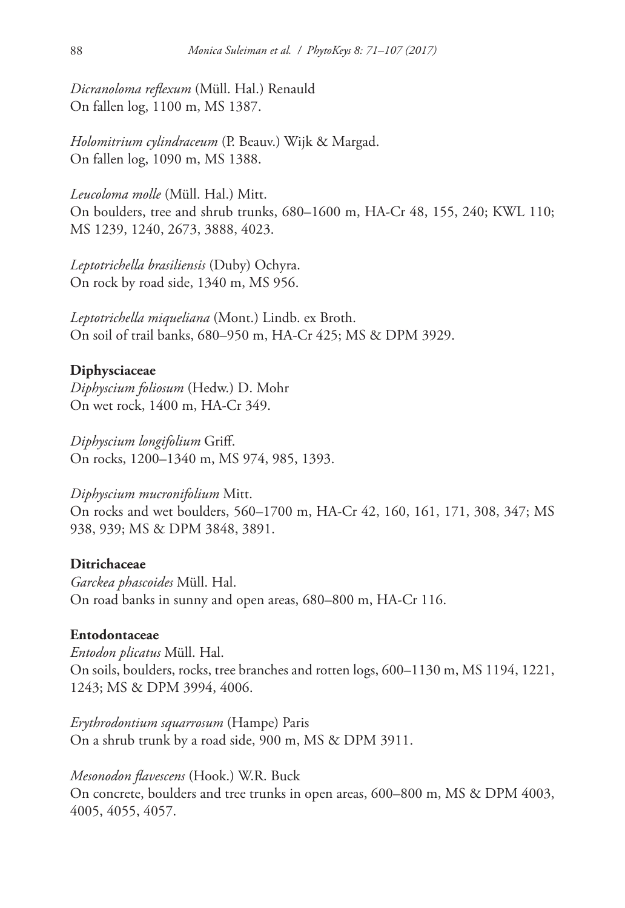*Dicranoloma reflexum* (Müll. Hal.) Renauld On fallen log, 1100 m, MS 1387.

*Holomitrium cylindraceum* (P. Beauv.) Wijk & Margad. On fallen log, 1090 m, MS 1388.

*Leucoloma molle* (Müll. Hal.) Mitt. On boulders, tree and shrub trunks, 680–1600 m, HA-Cr 48, 155, 240; KWL 110; MS 1239, 1240, 2673, 3888, 4023.

*Leptotrichella brasiliensis* (Duby) Ochyra. On rock by road side, 1340 m, MS 956.

*Leptotrichella miqueliana* (Mont.) Lindb. ex Broth. On soil of trail banks, 680–950 m, HA-Cr 425; MS & DPM 3929.

# **Diphysciaceae**

*Diphyscium foliosum* (Hedw.) D. Mohr On wet rock, 1400 m, HA-Cr 349.

*Diphyscium longifolium* Griff. On rocks, 1200–1340 m, MS 974, 985, 1393.

*Diphyscium mucronifolium* Mitt. On rocks and wet boulders, 560–1700 m, HA-Cr 42, 160, 161, 171, 308, 347; MS 938, 939; MS & DPM 3848, 3891.

### **Ditrichaceae**

*Garckea phascoides* Müll. Hal. On road banks in sunny and open areas, 680–800 m, HA-Cr 116.

#### **Entodontaceae**

*Entodon plicatus* Müll. Hal. On soils, boulders, rocks, tree branches and rotten logs, 600–1130 m, MS 1194, 1221, 1243; MS & DPM 3994, 4006.

*Erythrodontium squarrosum* (Hampe) Paris On a shrub trunk by a road side, 900 m, MS & DPM 3911.

*Mesonodon flavescens* (Hook.) W.R. Buck On concrete, boulders and tree trunks in open areas, 600–800 m, MS & DPM 4003, 4005, 4055, 4057.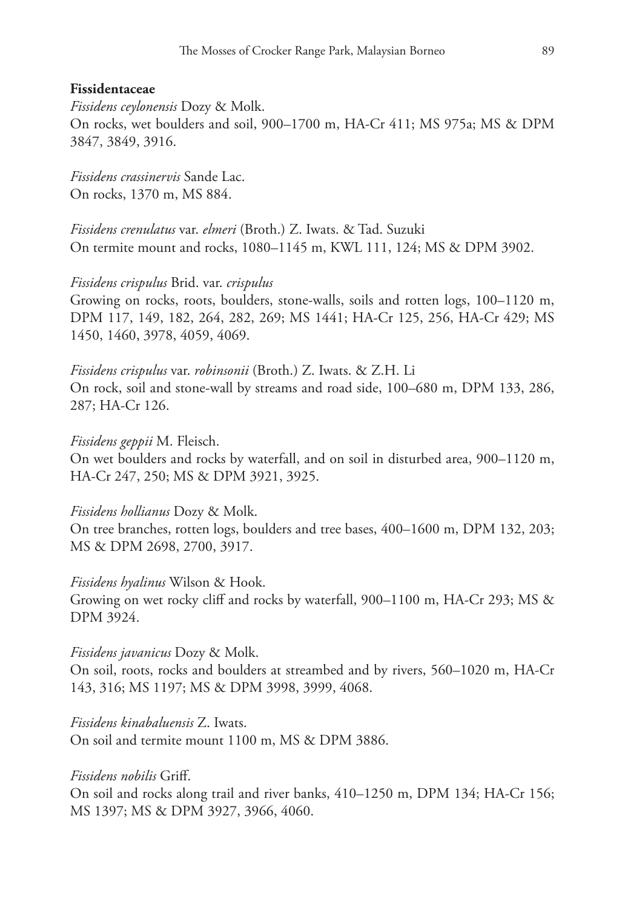#### **Fissidentaceae**

*Fissidens ceylonensis* Dozy & Molk. On rocks, wet boulders and soil, 900–1700 m, HA-Cr 411; MS 975a; MS & DPM 3847, 3849, 3916.

*Fissidens crassinervis* Sande Lac. On rocks, 1370 m, MS 884.

*Fissidens crenulatus* var. *elmeri* (Broth.) Z. Iwats. & Tad. Suzuki On termite mount and rocks, 1080–1145 m, KWL 111, 124; MS & DPM 3902.

#### *Fissidens crispulus* Brid. var. *crispulus*

Growing on rocks, roots, boulders, stone-walls, soils and rotten logs, 100–1120 m, DPM 117, 149, 182, 264, 282, 269; MS 1441; HA-Cr 125, 256, HA-Cr 429; MS 1450, 1460, 3978, 4059, 4069.

*Fissidens crispulus* var. *robinsonii* (Broth.) Z. Iwats. & Z.H. Li On rock, soil and stone-wall by streams and road side, 100–680 m, DPM 133, 286, 287; HA-Cr 126.

#### *Fissidens geppii* M. Fleisch.

On wet boulders and rocks by waterfall, and on soil in disturbed area, 900–1120 m, HA-Cr 247, 250; MS & DPM 3921, 3925.

#### *Fissidens hollianus* Dozy & Molk.

On tree branches, rotten logs, boulders and tree bases, 400–1600 m, DPM 132, 203; MS & DPM 2698, 2700, 3917.

#### *Fissidens hyalinus* Wilson & Hook.

Growing on wet rocky cliff and rocks by waterfall, 900–1100 m, HA-Cr 293; MS & DPM 3924.

#### *Fissidens javanicus* Dozy & Molk.

On soil, roots, rocks and boulders at streambed and by rivers, 560–1020 m, HA-Cr 143, 316; MS 1197; MS & DPM 3998, 3999, 4068.

*Fissidens kinabaluensis* Z. Iwats.

On soil and termite mount 1100 m, MS & DPM 3886.

#### *Fissidens nobilis* Griff.

On soil and rocks along trail and river banks, 410–1250 m, DPM 134; HA-Cr 156; MS 1397; MS & DPM 3927, 3966, 4060.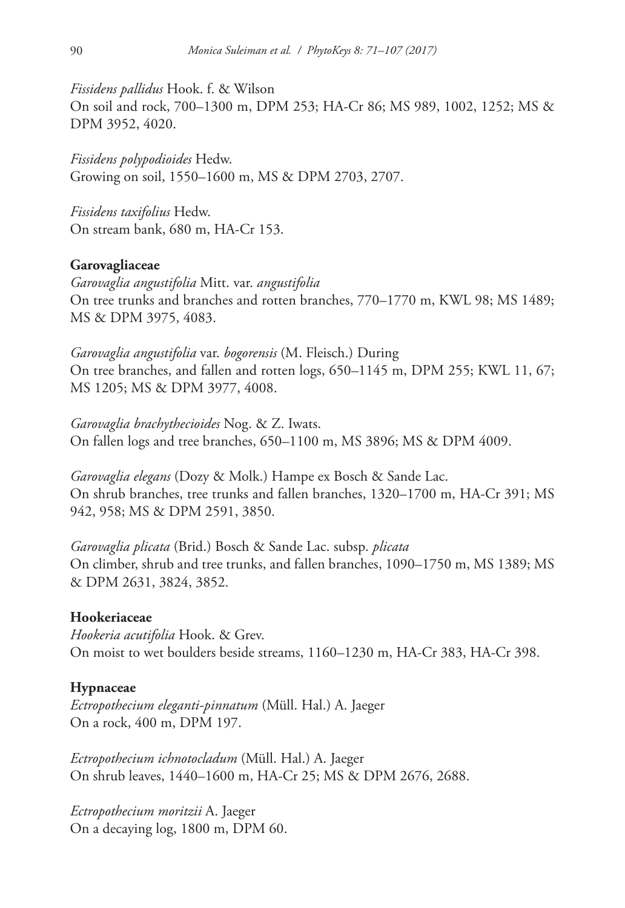*Fissidens pallidus* Hook. f. & Wilson On soil and rock, 700–1300 m, DPM 253; HA-Cr 86; MS 989, 1002, 1252; MS & DPM 3952, 4020.

*Fissidens polypodioides* Hedw. Growing on soil, 1550–1600 m, MS & DPM 2703, 2707.

*Fissidens taxifolius* Hedw. On stream bank, 680 m, HA-Cr 153.

#### **Garovagliaceae**

*Garovaglia angustifolia* Mitt. var. *angustifolia* On tree trunks and branches and rotten branches, 770–1770 m, KWL 98; MS 1489; MS & DPM 3975, 4083.

*Garovaglia angustifolia* var. *bogorensis* (M. Fleisch.) During On tree branches, and fallen and rotten logs, 650–1145 m, DPM 255; KWL 11, 67; MS 1205; MS & DPM 3977, 4008.

*Garovaglia brachythecioides* Nog. & Z. Iwats. On fallen logs and tree branches, 650–1100 m, MS 3896; MS & DPM 4009.

*Garovaglia elegans* (Dozy & Molk.) Hampe ex Bosch & Sande Lac. On shrub branches, tree trunks and fallen branches, 1320–1700 m, HA-Cr 391; MS 942, 958; MS & DPM 2591, 3850.

*Garovaglia plicata* (Brid.) Bosch & Sande Lac. subsp. *plicata* On climber, shrub and tree trunks, and fallen branches, 1090–1750 m, MS 1389; MS & DPM 2631, 3824, 3852.

#### **Hookeriaceae**

*Hookeria acutifolia* Hook. & Grev. On moist to wet boulders beside streams, 1160–1230 m, HA-Cr 383, HA-Cr 398.

#### **Hypnaceae**

*Ectropothecium eleganti-pinnatum* (Müll. Hal.) A. Jaeger On a rock, 400 m, DPM 197.

*Ectropothecium ichnotocladum* (Müll. Hal.) A. Jaeger On shrub leaves, 1440–1600 m, HA-Cr 25; MS & DPM 2676, 2688.

*Ectropothecium moritzii* A. Jaeger On a decaying log, 1800 m, DPM 60.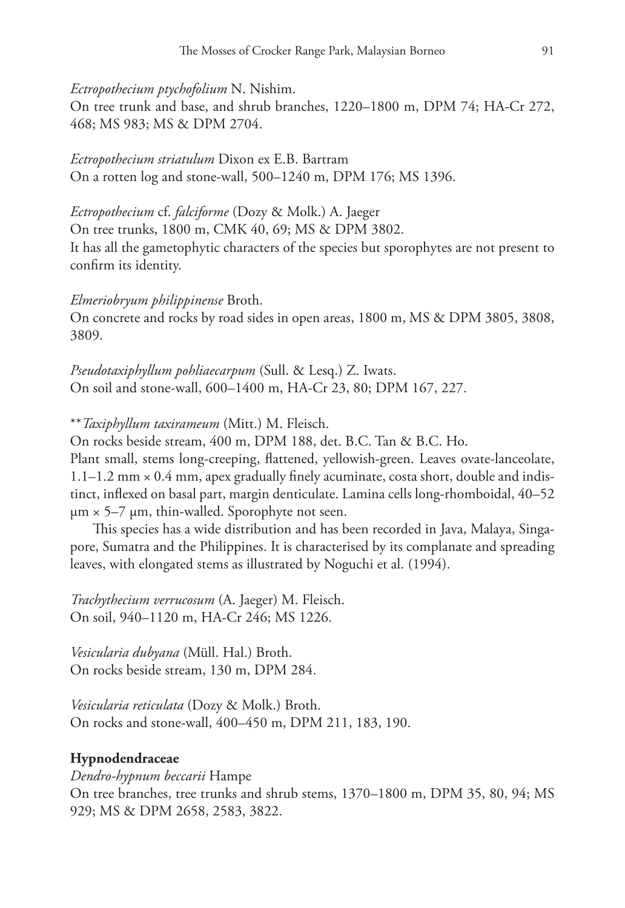*Ectropothecium ptychofolium* N. Nishim.

On tree trunk and base, and shrub branches, 1220–1800 m, DPM 74; HA-Cr 272, 468; MS 983; MS & DPM 2704.

*Ectropothecium striatulum* Dixon ex E.B. Bartram On a rotten log and stone-wall, 500–1240 m, DPM 176; MS 1396.

*Ectropothecium* cf. *falciforme* (Dozy & Molk.) A. Jaeger On tree trunks, 1800 m, CMK 40, 69; MS & DPM 3802. It has all the gametophytic characters of the species but sporophytes are not present to confirm its identity.

#### *Elmeriobryum philippinense* Broth.

On concrete and rocks by road sides in open areas, 1800 m, MS & DPM 3805, 3808, 3809.

*Pseudotaxiphyllum pohliaecarpum* (Sull. & Lesq.) Z. Iwats. On soil and stone-wall, 600–1400 m, HA-Cr 23, 80; DPM 167, 227.

\*\**Taxiphyllum taxirameum* (Mitt.) M. Fleisch.

On rocks beside stream, 400 m, DPM 188, det. B.C. Tan & B.C. Ho.

Plant small, stems long-creeping, flattened, yellowish-green. Leaves ovate-lanceolate, 1.1–1.2 mm × 0.4 mm, apex gradually finely acuminate, costa short, double and indistinct, inflexed on basal part, margin denticulate. Lamina cells long-rhomboidal, 40–52  $\mu$ m × 5–7  $\mu$ m, thin-walled. Sporophyte not seen.

This species has a wide distribution and has been recorded in Java, Malaya, Singapore, Sumatra and the Philippines. It is characterised by its complanate and spreading leaves, with elongated stems as illustrated by Noguchi et al. (1994).

*Trachythecium verrucosum* (A. Jaeger) M. Fleisch. On soil, 940–1120 m, HA-Cr 246; MS 1226.

*Vesicularia dubyana* (Müll. Hal.) Broth. On rocks beside stream, 130 m, DPM 284.

*Vesicularia reticulata* (Dozy & Molk.) Broth. On rocks and stone-wall, 400–450 m, DPM 211, 183, 190.

#### **Hypnodendraceae**

*Dendro-hypnum beccarii* Hampe

On tree branches, tree trunks and shrub stems, 1370–1800 m, DPM 35, 80, 94; MS 929; MS & DPM 2658, 2583, 3822.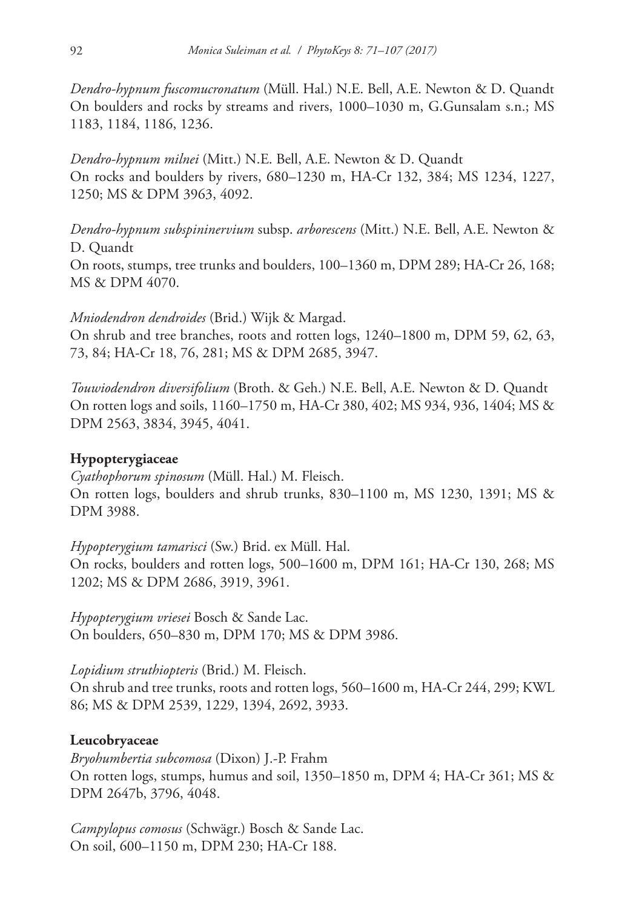*Dendro-hypnum fuscomucronatum* (Müll. Hal.) N.E. Bell, A.E. Newton & D. Quandt On boulders and rocks by streams and rivers, 1000–1030 m, G.Gunsalam s.n.; MS 1183, 1184, 1186, 1236.

*Dendro-hypnum milnei* (Mitt.) N.E. Bell, A.E. Newton & D. Quandt On rocks and boulders by rivers, 680–1230 m, HA-Cr 132, 384; MS 1234, 1227, 1250; MS & DPM 3963, 4092.

*Dendro-hypnum subspininervium* subsp. *arborescens* (Mitt.) N.E. Bell, A.E. Newton & D. Quandt On roots, stumps, tree trunks and boulders, 100–1360 m, DPM 289; HA-Cr 26, 168; MS & DPM 4070.

*Mniodendron dendroides* (Brid.) Wijk & Margad.

On shrub and tree branches, roots and rotten logs, 1240–1800 m, DPM 59, 62, 63, 73, 84; HA-Cr 18, 76, 281; MS & DPM 2685, 3947.

*Touwiodendron diversifolium* (Broth. & Geh.) N.E. Bell, A.E. Newton & D. Quandt On rotten logs and soils, 1160–1750 m, HA-Cr 380, 402; MS 934, 936, 1404; MS & DPM 2563, 3834, 3945, 4041.

# **Hypopterygiaceae**

*Cyathophorum spinosum* (Müll. Hal.) M. Fleisch. On rotten logs, boulders and shrub trunks, 830–1100 m, MS 1230, 1391; MS & DPM 3988.

*Hypopterygium tamarisci* (Sw.) Brid. ex Müll. Hal. On rocks, boulders and rotten logs, 500–1600 m, DPM 161; HA-Cr 130, 268; MS 1202; MS & DPM 2686, 3919, 3961.

*Hypopterygium vriesei* Bosch & Sande Lac. On boulders, 650–830 m, DPM 170; MS & DPM 3986.

*Lopidium struthiopteris* (Brid.) M. Fleisch.

On shrub and tree trunks, roots and rotten logs, 560–1600 m, HA-Cr 244, 299; KWL 86; MS & DPM 2539, 1229, 1394, 2692, 3933.

# **Leucobryaceae**

*Bryohumbertia subcomosa* (Dixon) J.-P. Frahm On rotten logs, stumps, humus and soil, 1350–1850 m, DPM 4; HA-Cr 361; MS & DPM 2647b, 3796, 4048.

*Campylopus comosus* (Schwägr.) Bosch & Sande Lac. On soil, 600–1150 m, DPM 230; HA-Cr 188.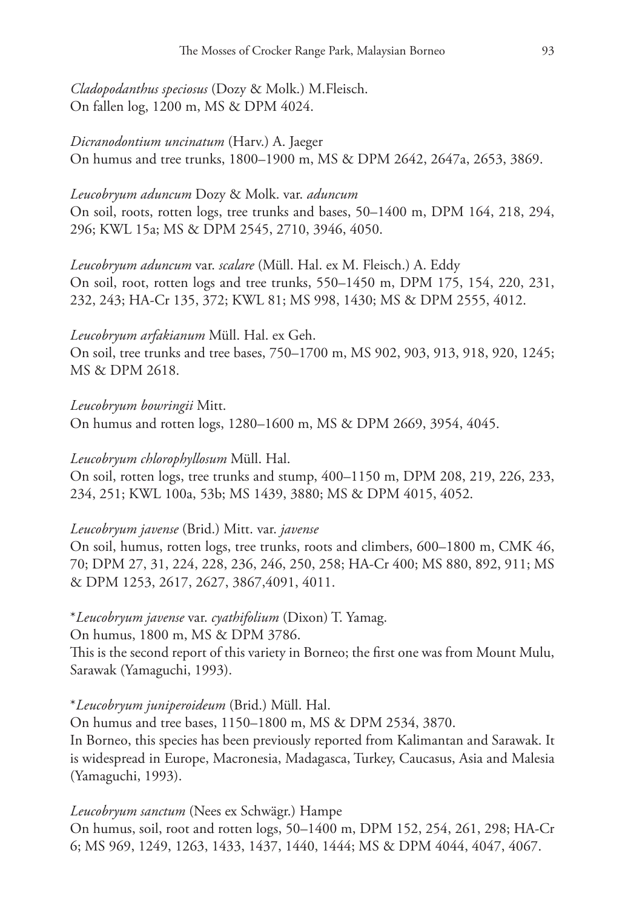*Cladopodanthus speciosus* (Dozy & Molk.) M.Fleisch. On fallen log, 1200 m, MS & DPM 4024.

*Dicranodontium uncinatum* (Harv.) A. Jaeger On humus and tree trunks, 1800–1900 m, MS & DPM 2642, 2647a, 2653, 3869.

# *Leucobryum aduncum* Dozy & Molk. var. *aduncum*

On soil, roots, rotten logs, tree trunks and bases, 50–1400 m, DPM 164, 218, 294, 296; KWL 15a; MS & DPM 2545, 2710, 3946, 4050.

*Leucobryum aduncum* var. *scalare* (Müll. Hal. ex M. Fleisch.) A. Eddy On soil, root, rotten logs and tree trunks, 550–1450 m, DPM 175, 154, 220, 231, 232, 243; HA-Cr 135, 372; KWL 81; MS 998, 1430; MS & DPM 2555, 4012.

*Leucobryum arfakianum* Müll. Hal. ex Geh.

On soil, tree trunks and tree bases, 750–1700 m, MS 902, 903, 913, 918, 920, 1245; MS & DPM 2618.

*Leucobryum bowringii* Mitt. On humus and rotten logs, 1280–1600 m, MS & DPM 2669, 3954, 4045.

# *Leucobryum chlorophyllosum* Müll. Hal.

On soil, rotten logs, tree trunks and stump, 400–1150 m, DPM 208, 219, 226, 233, 234, 251; KWL 100a, 53b; MS 1439, 3880; MS & DPM 4015, 4052.

# *Leucobryum javense* (Brid.) Mitt. var. *javense*

On soil, humus, rotten logs, tree trunks, roots and climbers, 600–1800 m, CMK 46, 70; DPM 27, 31, 224, 228, 236, 246, 250, 258; HA-Cr 400; MS 880, 892, 911; MS & DPM 1253, 2617, 2627, 3867,4091, 4011.

# \**Leucobryum javense* var. *cyathifolium* (Dixon) T. Yamag.

On humus, 1800 m, MS & DPM 3786.

This is the second report of this variety in Borneo; the first one was from Mount Mulu, Sarawak (Yamaguchi, 1993).

### \**Leucobryum juniperoideum* (Brid.) Müll. Hal.

On humus and tree bases, 1150–1800 m, MS & DPM 2534, 3870.

In Borneo, this species has been previously reported from Kalimantan and Sarawak. It is widespread in Europe, Macronesia, Madagasca, Turkey, Caucasus, Asia and Malesia (Yamaguchi, 1993).

*Leucobryum sanctum* (Nees ex Schwägr.) Hampe

On humus, soil, root and rotten logs, 50–1400 m, DPM 152, 254, 261, 298; HA-Cr 6; MS 969, 1249, 1263, 1433, 1437, 1440, 1444; MS & DPM 4044, 4047, 4067.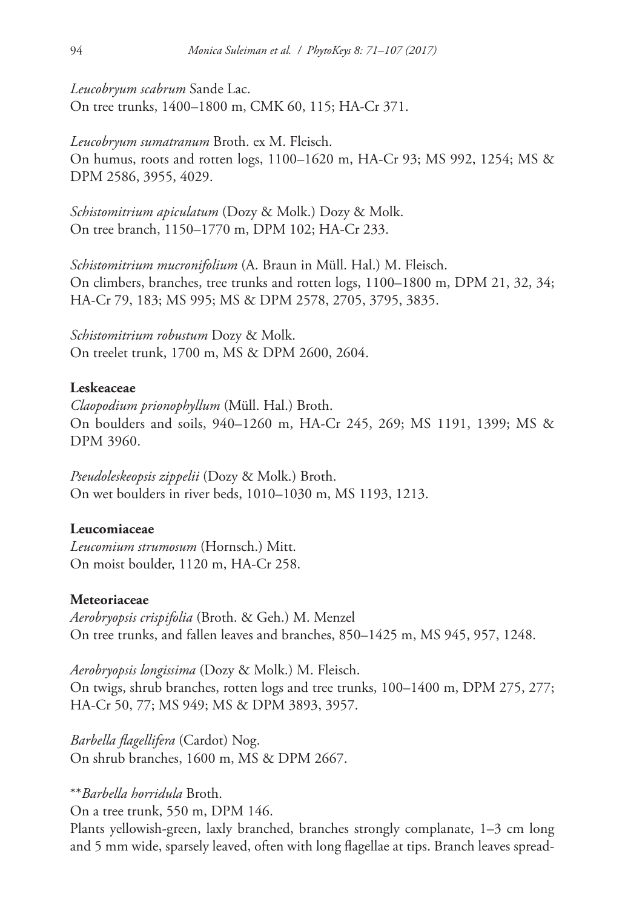*Leucobryum scabrum* Sande Lac. On tree trunks, 1400–1800 m, CMK 60, 115; HA-Cr 371.

*Leucobryum sumatranum* Broth. ex M. Fleisch. On humus, roots and rotten logs, 1100–1620 m, HA-Cr 93; MS 992, 1254; MS & DPM 2586, 3955, 4029.

*Schistomitrium apiculatum* (Dozy & Molk.) Dozy & Molk. On tree branch, 1150–1770 m, DPM 102; HA-Cr 233.

*Schistomitrium mucronifolium* (A. Braun in Müll. Hal.) M. Fleisch. On climbers, branches, tree trunks and rotten logs, 1100–1800 m, DPM 21, 32, 34; HA-Cr 79, 183; MS 995; MS & DPM 2578, 2705, 3795, 3835.

*Schistomitrium robustum* Dozy & Molk. On treelet trunk, 1700 m, MS & DPM 2600, 2604.

### **Leskeaceae**

*Claopodium prionophyllum* (Müll. Hal.) Broth. On boulders and soils, 940–1260 m, HA-Cr 245, 269; MS 1191, 1399; MS & DPM 3960.

*Pseudoleskeopsis zippelii* (Dozy & Molk.) Broth. On wet boulders in river beds, 1010–1030 m, MS 1193, 1213.

### **Leucomiaceae**

*Leucomium strumosum* (Hornsch.) Mitt. On moist boulder, 1120 m, HA-Cr 258.

### **Meteoriaceae**

*Aerobryopsis crispifolia* (Broth. & Geh.) M. Menzel On tree trunks, and fallen leaves and branches, 850–1425 m, MS 945, 957, 1248.

*Aerobryopsis longissima* (Dozy & Molk.) M. Fleisch. On twigs, shrub branches, rotten logs and tree trunks, 100–1400 m, DPM 275, 277; HA-Cr 50, 77; MS 949; MS & DPM 3893, 3957.

*Barbella flagellifera* (Cardot) Nog. On shrub branches, 1600 m, MS & DPM 2667.

# \*\**Barbella horridula* Broth.

On a tree trunk, 550 m, DPM 146.

Plants yellowish-green, laxly branched, branches strongly complanate, 1–3 cm long and 5 mm wide, sparsely leaved, often with long flagellae at tips. Branch leaves spread-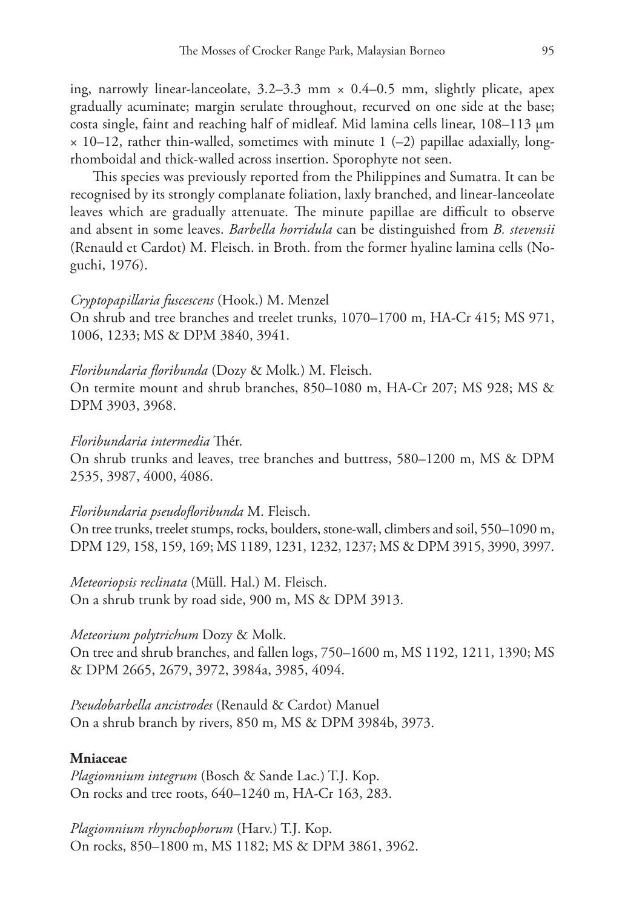ing, narrowly linear-lanceolate,  $3.2-3.3$  mm  $\times$  0.4-0.5 mm, slightly plicate, apex gradually acuminate; margin serulate throughout, recurved on one side at the base; costa single, faint and reaching half of midleaf. Mid lamina cells linear, 108–113 μm  $\times$  10–12, rather thin-walled, sometimes with minute 1 (–2) papillae adaxially, longrhomboidal and thick-walled across insertion. Sporophyte not seen.

This species was previously reported from the Philippines and Sumatra. It can be recognised by its strongly complanate foliation, laxly branched, and linear-lanceolate leaves which are gradually attenuate. The minute papillae are difficult to observe and absent in some leaves. *Barbella horridula* can be distinguished from *B. stevensii* (Renauld et Cardot) M. Fleisch. in Broth. from the former hyaline lamina cells (Noguchi, 1976).

#### *Cryptopapillaria fuscescens* (Hook.) M. Menzel

On shrub and tree branches and treelet trunks, 1070–1700 m, HA-Cr 415; MS 971, 1006, 1233; MS & DPM 3840, 3941.

*Floribundaria floribunda* (Dozy & Molk.) M. Fleisch.

On termite mount and shrub branches, 850–1080 m, HA-Cr 207; MS 928; MS & DPM 3903, 3968.

#### *Floribundaria intermedia* Thér.

On shrub trunks and leaves, tree branches and buttress, 580–1200 m, MS & DPM 2535, 3987, 4000, 4086.

#### *Floribundaria pseudofloribunda* M. Fleisch.

On tree trunks, treelet stumps, rocks, boulders, stone-wall, climbers and soil, 550–1090 m, DPM 129, 158, 159, 169; MS 1189, 1231, 1232, 1237; MS & DPM 3915, 3990, 3997.

*Meteoriopsis reclinata* (Müll. Hal.) M. Fleisch. On a shrub trunk by road side, 900 m, MS & DPM 3913.

#### *Meteorium polytrichum* Dozy & Molk.

On tree and shrub branches, and fallen logs, 750–1600 m, MS 1192, 1211, 1390; MS & DPM 2665, 2679, 3972, 3984a, 3985, 4094.

*Pseudobarbella ancistrodes* (Renauld & Cardot) Manuel On a shrub branch by rivers, 850 m, MS & DPM 3984b, 3973.

### **Mniaceae**

*Plagiomnium integrum* (Bosch & Sande Lac.) T.J. Kop. On rocks and tree roots, 640–1240 m, HA-Cr 163, 283.

*Plagiomnium rhynchophorum* (Harv.) T.J. Kop. On rocks, 850–1800 m, MS 1182; MS & DPM 3861, 3962.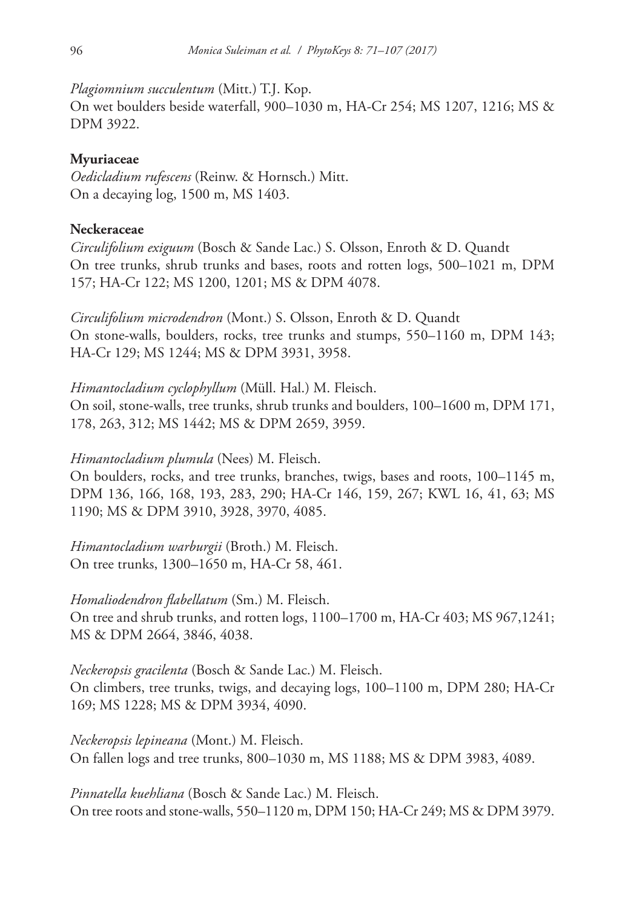*Plagiomnium succulentum* (Mitt.) T.J. Kop.

On wet boulders beside waterfall, 900–1030 m, HA-Cr 254; MS 1207, 1216; MS & DPM 3922.

# **Myuriaceae**

*Oedicladium rufescens* (Reinw. & Hornsch.) Mitt. On a decaying log, 1500 m, MS 1403.

# **Neckeraceae**

*Circulifolium exiguum* (Bosch & Sande Lac.) S. Olsson, Enroth & D. Quandt On tree trunks, shrub trunks and bases, roots and rotten logs, 500–1021 m, DPM 157; HA-Cr 122; MS 1200, 1201; MS & DPM 4078.

*Circulifolium microdendron* (Mont.) S. Olsson, Enroth & D. Quandt On stone-walls, boulders, rocks, tree trunks and stumps, 550–1160 m, DPM 143; HA-Cr 129; MS 1244; MS & DPM 3931, 3958.

*Himantocladium cyclophyllum* (Müll. Hal.) M. Fleisch. On soil, stone-walls, tree trunks, shrub trunks and boulders, 100–1600 m, DPM 171, 178, 263, 312; MS 1442; MS & DPM 2659, 3959.

*Himantocladium plumula* (Nees) M. Fleisch.

On boulders, rocks, and tree trunks, branches, twigs, bases and roots, 100–1145 m, DPM 136, 166, 168, 193, 283, 290; HA-Cr 146, 159, 267; KWL 16, 41, 63; MS 1190; MS & DPM 3910, 3928, 3970, 4085.

*Himantocladium warburgii* (Broth.) M. Fleisch. On tree trunks, 1300–1650 m, HA-Cr 58, 461.

*Homaliodendron flabellatum* (Sm.) M. Fleisch. On tree and shrub trunks, and rotten logs, 1100–1700 m, HA-Cr 403; MS 967,1241; MS & DPM 2664, 3846, 4038.

*Neckeropsis gracilenta* (Bosch & Sande Lac.) M. Fleisch. On climbers, tree trunks, twigs, and decaying logs, 100–1100 m, DPM 280; HA-Cr 169; MS 1228; MS & DPM 3934, 4090.

*Neckeropsis lepineana* (Mont.) M. Fleisch. On fallen logs and tree trunks, 800–1030 m, MS 1188; MS & DPM 3983, 4089.

*Pinnatella kuehliana* (Bosch & Sande Lac.) M. Fleisch. On tree roots and stone-walls, 550–1120 m, DPM 150; HA-Cr 249; MS & DPM 3979.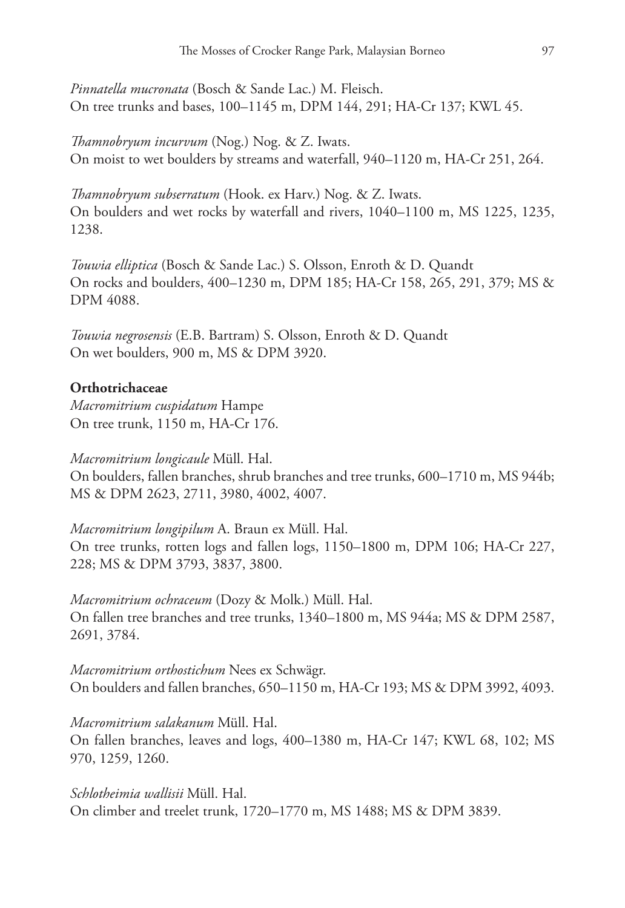*Pinnatella mucronata* (Bosch & Sande Lac.) M. Fleisch. On tree trunks and bases, 100–1145 m, DPM 144, 291; HA-Cr 137; KWL 45.

*Thamnobryum incurvum* (Nog.) Nog. & Z. Iwats. On moist to wet boulders by streams and waterfall, 940–1120 m, HA-Cr 251, 264.

*Thamnobryum subserratum* (Hook. ex Harv.) Nog. & Z. Iwats. On boulders and wet rocks by waterfall and rivers, 1040–1100 m, MS 1225, 1235, 1238.

*Touwia elliptica* (Bosch & Sande Lac.) S. Olsson, Enroth & D. Quandt On rocks and boulders, 400–1230 m, DPM 185; HA-Cr 158, 265, 291, 379; MS & DPM 4088.

*Touwia negrosensis* (E.B. Bartram) S. Olsson, Enroth & D. Quandt On wet boulders, 900 m, MS & DPM 3920.

# **Orthotrichaceae**

*Macromitrium cuspidatum* Hampe On tree trunk, 1150 m, HA-Cr 176.

### *Macromitrium longicaule* Müll. Hal.

On boulders, fallen branches, shrub branches and tree trunks, 600–1710 m, MS 944b; MS & DPM 2623, 2711, 3980, 4002, 4007.

*Macromitrium longipilum* A. Braun ex Müll. Hal. On tree trunks, rotten logs and fallen logs, 1150–1800 m, DPM 106; HA-Cr 227, 228; MS & DPM 3793, 3837, 3800.

*Macromitrium ochraceum* (Dozy & Molk.) Müll. Hal. On fallen tree branches and tree trunks, 1340–1800 m, MS 944a; MS & DPM 2587, 2691, 3784.

*Macromitrium orthostichum* Nees ex Schwägr. On boulders and fallen branches, 650–1150 m, HA-Cr 193; MS & DPM 3992, 4093.

*Macromitrium salakanum* Müll. Hal.

On fallen branches, leaves and logs, 400–1380 m, HA-Cr 147; KWL 68, 102; MS 970, 1259, 1260.

*Schlotheimia wallisii* Müll. Hal. On climber and treelet trunk, 1720–1770 m, MS 1488; MS & DPM 3839.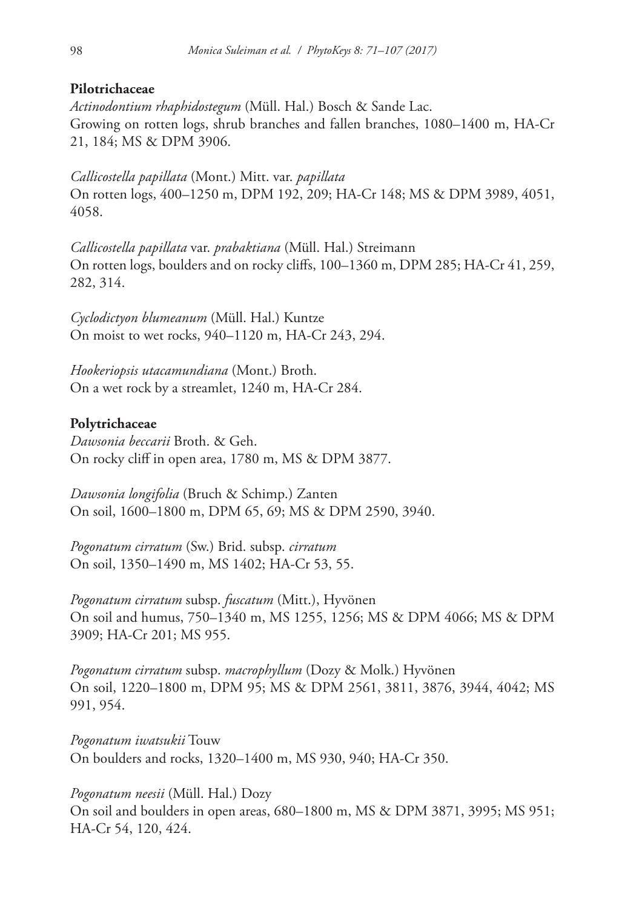## **Pilotrichaceae**

*Actinodontium rhaphidostegum* (Müll. Hal.) Bosch & Sande Lac. Growing on rotten logs, shrub branches and fallen branches, 1080–1400 m, HA-Cr 21, 184; MS & DPM 3906.

*Callicostella papillata* (Mont.) Mitt. var. *papillata* On rotten logs, 400–1250 m, DPM 192, 209; HA-Cr 148; MS & DPM 3989, 4051, 4058.

*Callicostella papillata* var. *prabaktiana* (Müll. Hal.) Streimann On rotten logs, boulders and on rocky cliffs, 100–1360 m, DPM 285; HA-Cr 41, 259, 282, 314.

*Cyclodictyon blumeanum* (Müll. Hal.) Kuntze On moist to wet rocks, 940–1120 m, HA-Cr 243, 294.

*Hookeriopsis utacamundiana* (Mont.) Broth. On a wet rock by a streamlet, 1240 m, HA-Cr 284.

# **Polytrichaceae**

*Dawsonia beccarii* Broth. & Geh. On rocky cliff in open area, 1780 m, MS & DPM 3877.

*Dawsonia longifolia* (Bruch & Schimp.) Zanten On soil, 1600–1800 m, DPM 65, 69; MS & DPM 2590, 3940.

*Pogonatum cirratum* (Sw.) Brid. subsp. *cirratum* On soil, 1350–1490 m, MS 1402; HA-Cr 53, 55.

*Pogonatum cirratum* subsp. *fuscatum* (Mitt.), Hyvönen On soil and humus, 750–1340 m, MS 1255, 1256; MS & DPM 4066; MS & DPM 3909; HA-Cr 201; MS 955.

*Pogonatum cirratum* subsp. *macrophyllum* (Dozy & Molk.) Hyvönen On soil, 1220–1800 m, DPM 95; MS & DPM 2561, 3811, 3876, 3944, 4042; MS 991, 954.

*Pogonatum iwatsukii* Touw On boulders and rocks, 1320–1400 m, MS 930, 940; HA-Cr 350.

*Pogonatum neesii* (Müll. Hal.) Dozy On soil and boulders in open areas, 680–1800 m, MS & DPM 3871, 3995; MS 951; HA-Cr 54, 120, 424.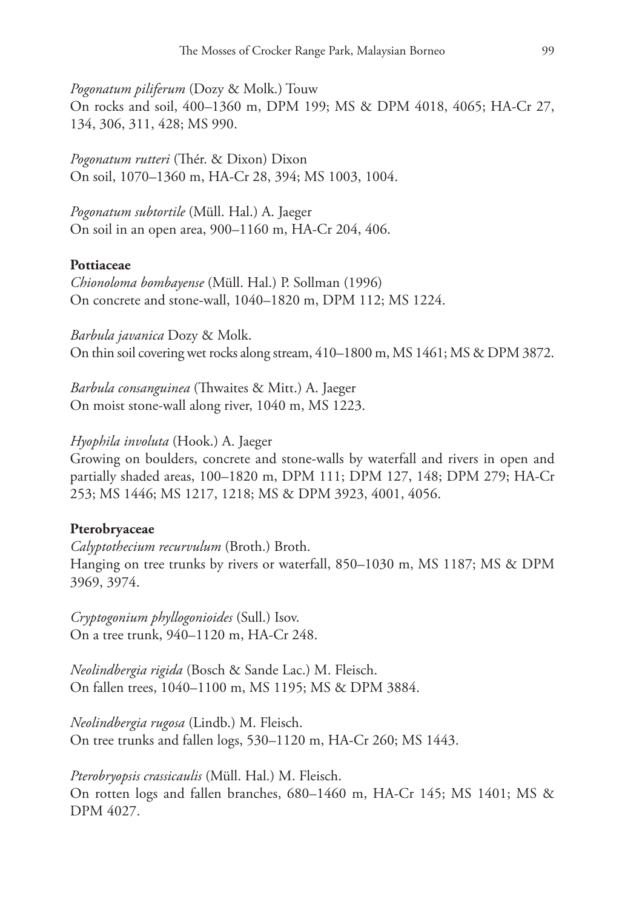*Pogonatum piliferum* (Dozy & Molk.) Touw On rocks and soil, 400–1360 m, DPM 199; MS & DPM 4018, 4065; HA-Cr 27, 134, 306, 311, 428; MS 990.

*Pogonatum rutteri* (Thér. & Dixon) Dixon On soil, 1070–1360 m, HA-Cr 28, 394; MS 1003, 1004.

*Pogonatum subtortile* (Müll. Hal.) A. Jaeger On soil in an open area, 900–1160 m, HA-Cr 204, 406.

#### **Pottiaceae**

*Chionoloma bombayense* (Müll. Hal.) P. Sollman (1996) On concrete and stone-wall, 1040–1820 m, DPM 112; MS 1224.

*Barbula javanica* Dozy & Molk. On thin soil covering wet rocks along stream, 410–1800 m, MS 1461; MS & DPM 3872.

*Barbula consanguinea* (Thwaites & Mitt.) A. Jaeger On moist stone-wall along river, 1040 m, MS 1223.

#### *Hyophila involuta* (Hook.) A. Jaeger

Growing on boulders, concrete and stone-walls by waterfall and rivers in open and partially shaded areas, 100–1820 m, DPM 111; DPM 127, 148; DPM 279; HA-Cr 253; MS 1446; MS 1217, 1218; MS & DPM 3923, 4001, 4056.

#### **Pterobryaceae**

*Calyptothecium recurvulum* (Broth.) Broth. Hanging on tree trunks by rivers or waterfall, 850–1030 m, MS 1187; MS & DPM 3969, 3974.

*Cryptogonium phyllogonioides* (Sull.) Isov. On a tree trunk, 940–1120 m, HA-Cr 248.

*Neolindbergia rigida* (Bosch & Sande Lac.) M. Fleisch. On fallen trees, 1040–1100 m, MS 1195; MS & DPM 3884.

*Neolindbergia rugosa* (Lindb.) M. Fleisch. On tree trunks and fallen logs, 530–1120 m, HA-Cr 260; MS 1443.

*Pterobryopsis crassicaulis* (Müll. Hal.) M. Fleisch. On rotten logs and fallen branches, 680–1460 m, HA-Cr 145; MS 1401; MS & DPM 4027.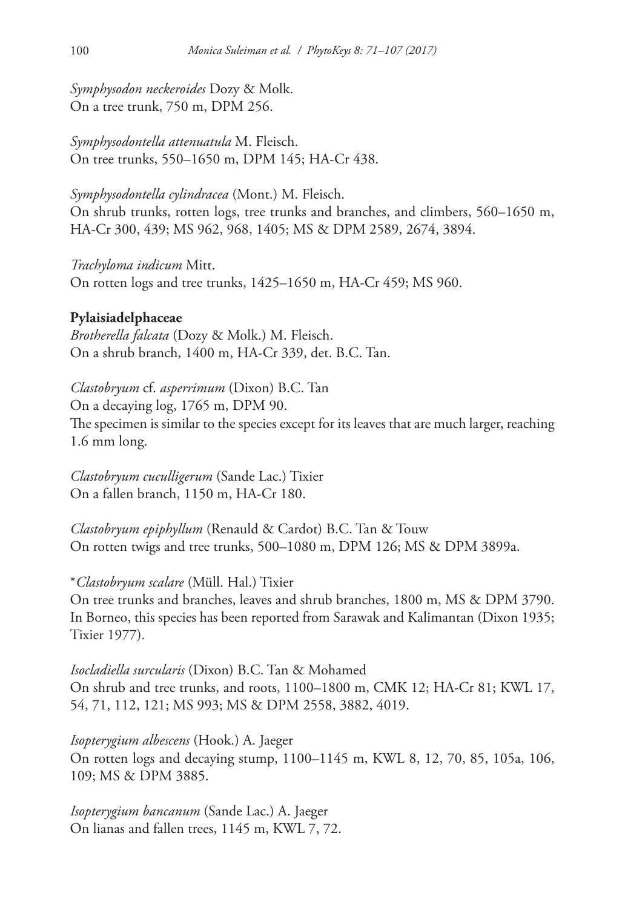*Symphysodon neckeroides* Dozy & Molk. On a tree trunk, 750 m, DPM 256.

*Symphysodontella attenuatula* M. Fleisch. On tree trunks, 550–1650 m, DPM 145; HA-Cr 438.

*Symphysodontella cylindracea* (Mont.) M. Fleisch. On shrub trunks, rotten logs, tree trunks and branches, and climbers, 560–1650 m, HA-Cr 300, 439; MS 962, 968, 1405; MS & DPM 2589, 2674, 3894.

*Trachyloma indicum* Mitt. On rotten logs and tree trunks, 1425–1650 m, HA-Cr 459; MS 960.

# **Pylaisiadelphaceae**

*Brotherella falcata* (Dozy & Molk.) M. Fleisch. On a shrub branch, 1400 m, HA-Cr 339, det. B.C. Tan.

*Clastobryum* cf. *asperrimum* (Dixon) B.C. Tan On a decaying log, 1765 m, DPM 90. The specimen is similar to the species except for its leaves that are much larger, reaching 1.6 mm long.

*Clastobryum cuculligerum* (Sande Lac.) Tixier On a fallen branch, 1150 m, HA-Cr 180.

*Clastobryum epiphyllum* (Renauld & Cardot) B.C. Tan & Touw On rotten twigs and tree trunks, 500–1080 m, DPM 126; MS & DPM 3899a.

\**Clastobryum scalare* (Müll. Hal.) Tixier On tree trunks and branches, leaves and shrub branches, 1800 m, MS & DPM 3790. In Borneo, this species has been reported from Sarawak and Kalimantan (Dixon 1935; Tixier 1977).

*Isocladiella surcularis* (Dixon) B.C. Tan & Mohamed On shrub and tree trunks, and roots, 1100–1800 m, CMK 12; HA-Cr 81; KWL 17, 54, 71, 112, 121; MS 993; MS & DPM 2558, 3882, 4019.

*Isopterygium albescens* (Hook.) A. Jaeger On rotten logs and decaying stump, 1100–1145 m, KWL 8, 12, 70, 85, 105a, 106, 109; MS & DPM 3885.

*Isopterygium bancanum* (Sande Lac.) A. Jaeger On lianas and fallen trees, 1145 m, KWL 7, 72.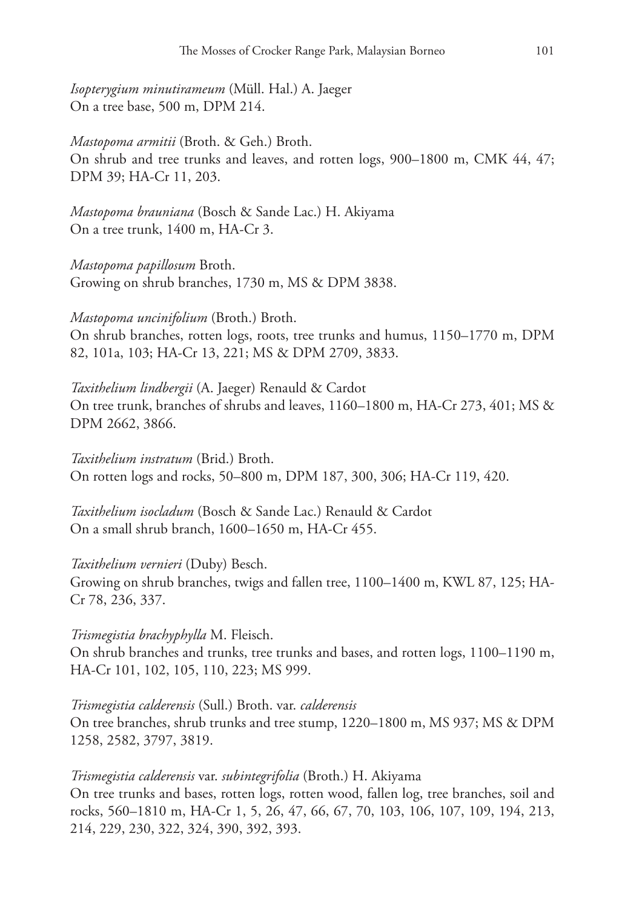*Isopterygium minutirameum* (Müll. Hal.) A. Jaeger On a tree base, 500 m, DPM 214.

*Mastopoma armitii* (Broth. & Geh.) Broth. On shrub and tree trunks and leaves, and rotten logs, 900–1800 m, CMK 44, 47; DPM 39; HA-Cr 11, 203.

*Mastopoma brauniana* (Bosch & Sande Lac.) H. Akiyama On a tree trunk, 1400 m, HA-Cr 3.

*Mastopoma papillosum* Broth. Growing on shrub branches, 1730 m, MS & DPM 3838.

*Mastopoma uncinifolium* (Broth.) Broth. On shrub branches, rotten logs, roots, tree trunks and humus, 1150–1770 m, DPM 82, 101a, 103; HA-Cr 13, 221; MS & DPM 2709, 3833.

*Taxithelium lindbergii* (A. Jaeger) Renauld & Cardot On tree trunk, branches of shrubs and leaves, 1160–1800 m, HA-Cr 273, 401; MS & DPM 2662, 3866.

*Taxithelium instratum* (Brid.) Broth. On rotten logs and rocks, 50–800 m, DPM 187, 300, 306; HA-Cr 119, 420.

*Taxithelium isocladum* (Bosch & Sande Lac.) Renauld & Cardot On a small shrub branch, 1600–1650 m, HA-Cr 455.

### *Taxithelium vernieri* (Duby) Besch.

Growing on shrub branches, twigs and fallen tree, 1100–1400 m, KWL 87, 125; HA-Cr 78, 236, 337.

#### *Trismegistia brachyphylla* M. Fleisch.

On shrub branches and trunks, tree trunks and bases, and rotten logs, 1100–1190 m, HA-Cr 101, 102, 105, 110, 223; MS 999.

*Trismegistia calderensis* (Sull.) Broth. var. *calderensis* On tree branches, shrub trunks and tree stump, 1220–1800 m, MS 937; MS & DPM 1258, 2582, 3797, 3819.

#### *Trismegistia calderensis* var. *subintegrifolia* (Broth.) H. Akiyama

On tree trunks and bases, rotten logs, rotten wood, fallen log, tree branches, soil and rocks, 560–1810 m, HA-Cr 1, 5, 26, 47, 66, 67, 70, 103, 106, 107, 109, 194, 213, 214, 229, 230, 322, 324, 390, 392, 393.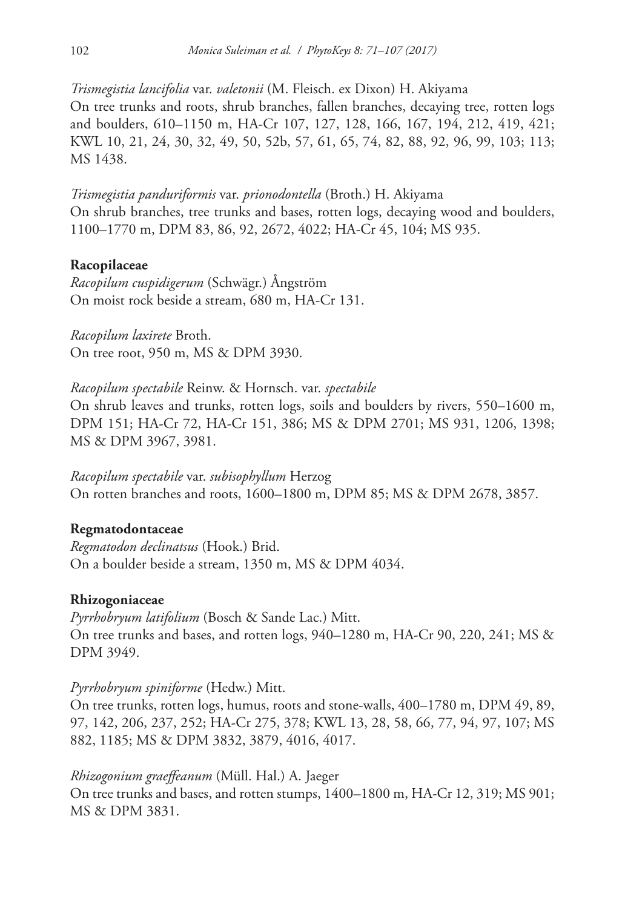*Trismegistia lancifolia* var. *valetonii* (M. Fleisch. ex Dixon) H. Akiyama On tree trunks and roots, shrub branches, fallen branches, decaying tree, rotten logs and boulders, 610–1150 m, HA-Cr 107, 127, 128, 166, 167, 194, 212, 419, 421; KWL 10, 21, 24, 30, 32, 49, 50, 52b, 57, 61, 65, 74, 82, 88, 92, 96, 99, 103; 113; MS 1438.

*Trismegistia panduriformis* var. *prionodontella* (Broth.) H. Akiyama On shrub branches, tree trunks and bases, rotten logs, decaying wood and boulders, 1100–1770 m, DPM 83, 86, 92, 2672, 4022; HA-Cr 45, 104; MS 935.

# **Racopilaceae**

*Racopilum cuspidigerum* (Schwägr.) Ångström On moist rock beside a stream, 680 m, HA-Cr 131.

*Racopilum laxirete* Broth. On tree root, 950 m, MS & DPM 3930.

*Racopilum spectabile* Reinw. & Hornsch. var. *spectabile* On shrub leaves and trunks, rotten logs, soils and boulders by rivers, 550–1600 m, DPM 151; HA-Cr 72, HA-Cr 151, 386; MS & DPM 2701; MS 931, 1206, 1398; MS & DPM 3967, 3981.

*Racopilum spectabile* var. *subisophyllum* Herzog On rotten branches and roots, 1600–1800 m, DPM 85; MS & DPM 2678, 3857.

# **Regmatodontaceae**

*Regmatodon declinatsus* (Hook.) Brid. On a boulder beside a stream, 1350 m, MS & DPM 4034.

### **Rhizogoniaceae**

*Pyrrhobryum latifolium* (Bosch & Sande Lac.) Mitt. On tree trunks and bases, and rotten logs, 940–1280 m, HA-Cr 90, 220, 241; MS & DPM 3949.

*Pyrrhobryum spiniforme* (Hedw.) Mitt.

On tree trunks, rotten logs, humus, roots and stone-walls, 400–1780 m, DPM 49, 89, 97, 142, 206, 237, 252; HA-Cr 275, 378; KWL 13, 28, 58, 66, 77, 94, 97, 107; MS 882, 1185; MS & DPM 3832, 3879, 4016, 4017.

*Rhizogonium graeffeanum* (Müll. Hal.) A. Jaeger On tree trunks and bases, and rotten stumps, 1400–1800 m, HA-Cr 12, 319; MS 901; MS & DPM 3831.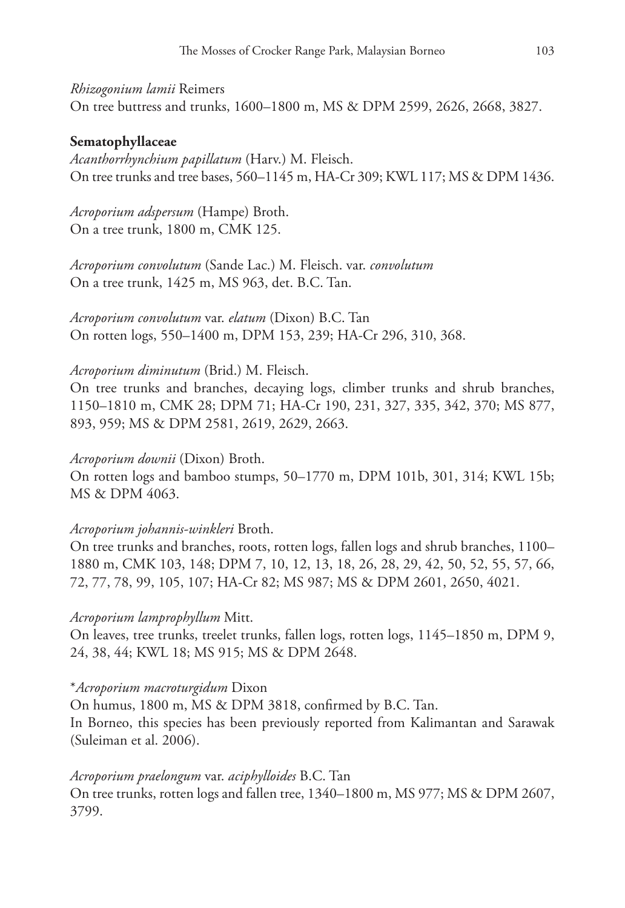#### *Rhizogonium lamii* Reimers

On tree buttress and trunks, 1600–1800 m, MS & DPM 2599, 2626, 2668, 3827.

### **Sematophyllaceae**

*Acanthorrhynchium papillatum* (Harv.) M. Fleisch. On tree trunks and tree bases, 560–1145 m, HA-Cr 309; KWL 117; MS & DPM 1436.

*Acroporium adspersum* (Hampe) Broth. On a tree trunk, 1800 m, CMK 125.

*Acroporium convolutum* (Sande Lac.) M. Fleisch. var. *convolutum* On a tree trunk, 1425 m, MS 963, det. B.C. Tan.

*Acroporium convolutum* var. *elatum* (Dixon) B.C. Tan On rotten logs, 550–1400 m, DPM 153, 239; HA-Cr 296, 310, 368.

### *Acroporium diminutum* (Brid.) M. Fleisch.

On tree trunks and branches, decaying logs, climber trunks and shrub branches, 1150–1810 m, CMK 28; DPM 71; HA-Cr 190, 231, 327, 335, 342, 370; MS 877, 893, 959; MS & DPM 2581, 2619, 2629, 2663.

### *Acroporium downii* (Dixon) Broth.

On rotten logs and bamboo stumps, 50–1770 m, DPM 101b, 301, 314; KWL 15b; MS & DPM 4063.

### *Acroporium johannis-winkleri* Broth.

On tree trunks and branches, roots, rotten logs, fallen logs and shrub branches, 1100– 1880 m, CMK 103, 148; DPM 7, 10, 12, 13, 18, 26, 28, 29, 42, 50, 52, 55, 57, 66, 72, 77, 78, 99, 105, 107; HA-Cr 82; MS 987; MS & DPM 2601, 2650, 4021.

### *Acroporium lamprophyllum* Mitt.

On leaves, tree trunks, treelet trunks, fallen logs, rotten logs, 1145–1850 m, DPM 9, 24, 38, 44; KWL 18; MS 915; MS & DPM 2648.

#### \**Acroporium macroturgidum* Dixon

On humus, 1800 m, MS & DPM 3818, confirmed by B.C. Tan. In Borneo, this species has been previously reported from Kalimantan and Sarawak (Suleiman et al. 2006).

### *Acroporium praelongum* var. *aciphylloides* B.C. Tan

On tree trunks, rotten logs and fallen tree, 1340–1800 m, MS 977; MS & DPM 2607, 3799.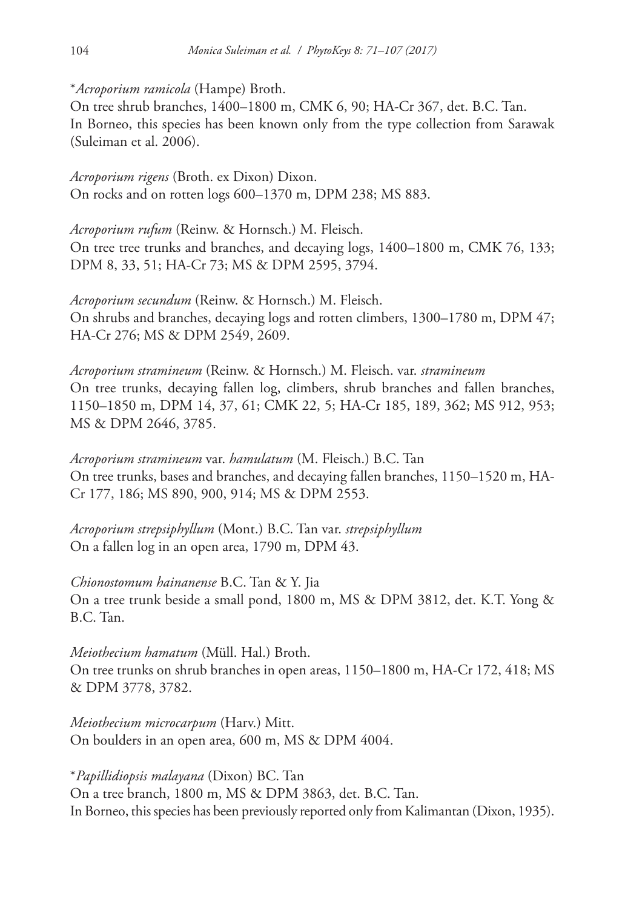\**Acroporium ramicola* (Hampe) Broth.

On tree shrub branches, 1400–1800 m, CMK 6, 90; HA-Cr 367, det. B.C. Tan. In Borneo, this species has been known only from the type collection from Sarawak (Suleiman et al. 2006).

*Acroporium rigens* (Broth. ex Dixon) Dixon. On rocks and on rotten logs 600–1370 m, DPM 238; MS 883.

*Acroporium rufum* (Reinw. & Hornsch.) M. Fleisch. On tree tree trunks and branches, and decaying logs, 1400–1800 m, CMK 76, 133; DPM 8, 33, 51; HA-Cr 73; MS & DPM 2595, 3794.

*Acroporium secundum* (Reinw. & Hornsch.) M. Fleisch. On shrubs and branches, decaying logs and rotten climbers, 1300–1780 m, DPM 47; HA-Cr 276; MS & DPM 2549, 2609.

*Acroporium stramineum* (Reinw. & Hornsch.) M. Fleisch. var. *stramineum* On tree trunks, decaying fallen log, climbers, shrub branches and fallen branches, 1150–1850 m, DPM 14, 37, 61; CMK 22, 5; HA-Cr 185, 189, 362; MS 912, 953; MS & DPM 2646, 3785.

*Acroporium stramineum* var. *hamulatum* (M. Fleisch.) B.C. Tan On tree trunks, bases and branches, and decaying fallen branches, 1150–1520 m, HA-Cr 177, 186; MS 890, 900, 914; MS & DPM 2553.

*Acroporium strepsiphyllum* (Mont.) B.C. Tan var. *strepsiphyllum* On a fallen log in an open area, 1790 m, DPM 43.

*Chionostomum hainanense* B.C. Tan & Y. Jia On a tree trunk beside a small pond, 1800 m, MS & DPM 3812, det. K.T. Yong & B.C. Tan.

*Meiothecium hamatum* (Müll. Hal.) Broth. On tree trunks on shrub branches in open areas, 1150–1800 m, HA-Cr 172, 418; MS & DPM 3778, 3782.

*Meiothecium microcarpum* (Harv.) Mitt. On boulders in an open area, 600 m, MS & DPM 4004.

\**Papillidiopsis malayana* (Dixon) BC. Tan On a tree branch, 1800 m, MS & DPM 3863, det. B.C. Tan. In Borneo, this species has been previously reported only from Kalimantan (Dixon, 1935).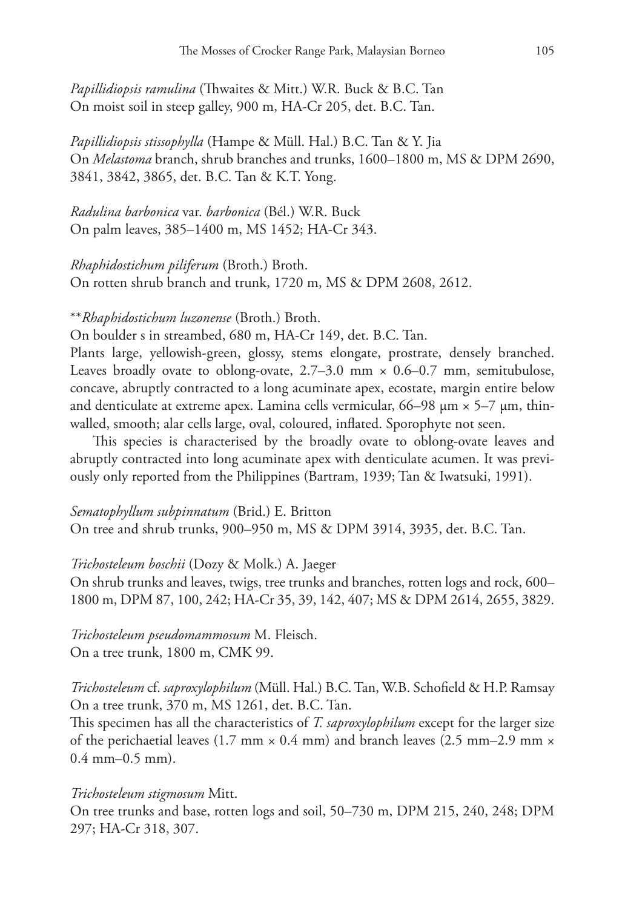*Papillidiopsis ramulina* (Thwaites & Mitt.) W.R. Buck & B.C. Tan On moist soil in steep galley, 900 m, HA-Cr 205, det. B.C. Tan.

*Papillidiopsis stissophylla* (Hampe & Müll. Hal.) B.C. Tan & Y. Jia On *Melastoma* branch, shrub branches and trunks, 1600–1800 m, MS & DPM 2690, 3841, 3842, 3865, det. B.C. Tan & K.T. Yong.

*Radulina barbonica* var. *barbonica* (Bél.) W.R. Buck On palm leaves, 385–1400 m, MS 1452; HA-Cr 343.

*Rhaphidostichum piliferum* (Broth.) Broth. On rotten shrub branch and trunk, 1720 m, MS & DPM 2608, 2612.

\*\**Rhaphidostichum luzonense* (Broth.) Broth.

On boulder s in streambed, 680 m, HA-Cr 149, det. B.C. Tan.

Plants large, yellowish-green, glossy, stems elongate, prostrate, densely branched. Leaves broadly ovate to oblong-ovate,  $2.7-3.0$  mm  $\times$  0.6-0.7 mm, semitubulose, concave, abruptly contracted to a long acuminate apex, ecostate, margin entire below and denticulate at extreme apex. Lamina cells vermicular,  $66-98 \mu m \times 5-7 \mu m$ , thinwalled, smooth; alar cells large, oval, coloured, inflated. Sporophyte not seen.

This species is characterised by the broadly ovate to oblong-ovate leaves and abruptly contracted into long acuminate apex with denticulate acumen. It was previously only reported from the Philippines (Bartram, 1939; Tan & Iwatsuki, 1991).

#### *Sematophyllum subpinnatum* (Brid.) E. Britton

On tree and shrub trunks, 900–950 m, MS & DPM 3914, 3935, det. B.C. Tan.

*Trichosteleum boschii* (Dozy & Molk.) A. Jaeger

On shrub trunks and leaves, twigs, tree trunks and branches, rotten logs and rock, 600– 1800 m, DPM 87, 100, 242; HA-Cr 35, 39, 142, 407; MS & DPM 2614, 2655, 3829.

*Trichosteleum pseudomammosum* M. Fleisch. On a tree trunk, 1800 m, CMK 99.

*Trichosteleum* cf. *saproxylophilum* (Müll. Hal.) B.C. Tan, W.B. Schofield & H.P. Ramsay On a tree trunk, 370 m, MS 1261, det. B.C. Tan.

This specimen has all the characteristics of *T. saproxylophilum* except for the larger size of the perichaetial leaves (1.7 mm  $\times$  0.4 mm) and branch leaves (2.5 mm–2.9 mm  $\times$ 0.4 mm–0.5 mm).

#### *Trichosteleum stigmosum* Mitt.

On tree trunks and base, rotten logs and soil, 50–730 m, DPM 215, 240, 248; DPM 297; HA-Cr 318, 307.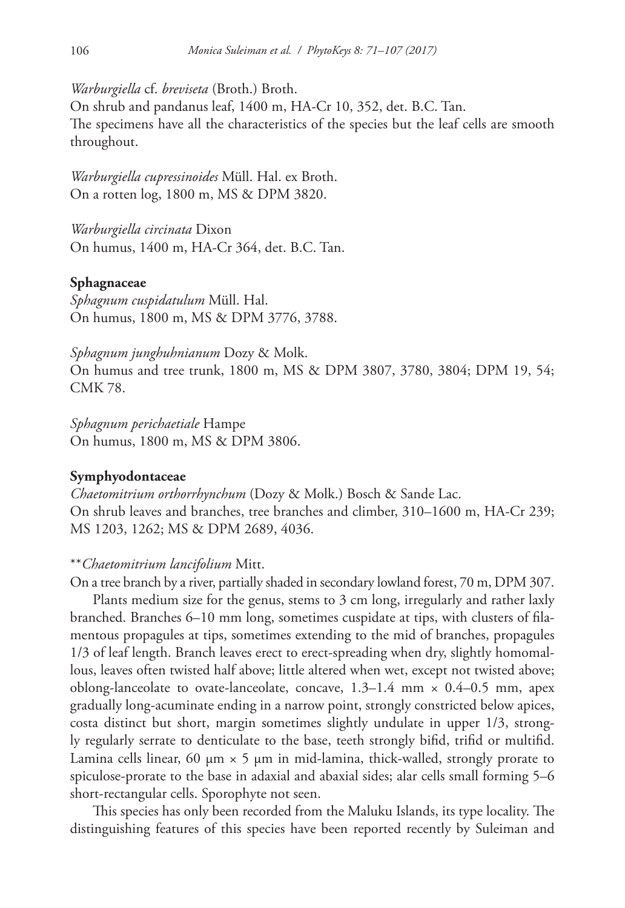*Warburgiella* cf. *breviseta* (Broth.) Broth.

On shrub and pandanus leaf, 1400 m, HA-Cr 10, 352, det. B.C. Tan. The specimens have all the characteristics of the species but the leaf cells are smooth throughout.

*Warburgiella cupressinoides* Müll. Hal. ex Broth. On a rotten log, 1800 m, MS & DPM 3820.

*Warburgiella circinata* Dixon On humus, 1400 m, HA-Cr 364, det. B.C. Tan.

#### **Sphagnaceae**

*Sphagnum cuspidatulum* Müll. Hal. On humus, 1800 m, MS & DPM 3776, 3788.

*Sphagnum junghuhnianum* Dozy & Molk. On humus and tree trunk, 1800 m, MS & DPM 3807, 3780, 3804; DPM 19, 54; CMK 78.

*Sphagnum perichaetiale* Hampe On humus, 1800 m, MS & DPM 3806.

#### **Symphyodontaceae**

*Chaetomitrium orthorrhynchum* (Dozy & Molk.) Bosch & Sande Lac. On shrub leaves and branches, tree branches and climber, 310–1600 m, HA-Cr 239; MS 1203, 1262; MS & DPM 2689, 4036.

#### \*\**Chaetomitrium lancifolium* Mitt.

On a tree branch by a river, partially shaded in secondary lowland forest, 70 m, DPM 307.

Plants medium size for the genus, stems to 3 cm long, irregularly and rather laxly branched. Branches 6–10 mm long, sometimes cuspidate at tips, with clusters of filamentous propagules at tips, sometimes extending to the mid of branches, propagules 1/3 of leaf length. Branch leaves erect to erect-spreading when dry, slightly homomallous, leaves often twisted half above; little altered when wet, except not twisted above; oblong-lanceolate to ovate-lanceolate, concave,  $1.3-1.4$  mm  $\times$  0.4–0.5 mm, apex gradually long-acuminate ending in a narrow point, strongly constricted below apices, costa distinct but short, margin sometimes slightly undulate in upper 1/3, strongly regularly serrate to denticulate to the base, teeth strongly bifid, trifid or multifid. Lamina cells linear, 60  $\mu$ m × 5  $\mu$ m in mid-lamina, thick-walled, strongly prorate to spiculose-prorate to the base in adaxial and abaxial sides; alar cells small forming 5–6 short-rectangular cells. Sporophyte not seen.

This species has only been recorded from the Maluku Islands, its type locality. The distinguishing features of this species have been reported recently by Suleiman and